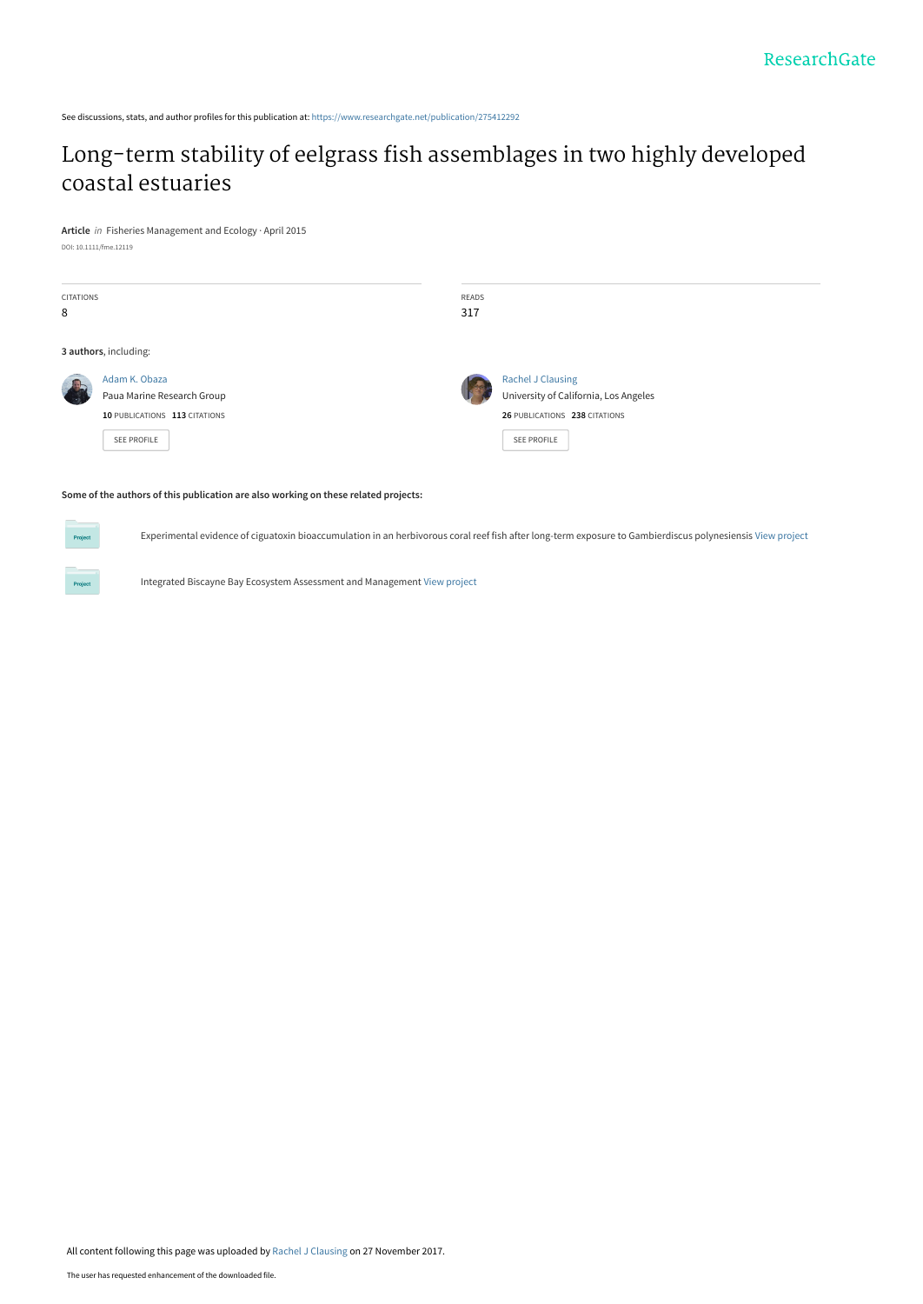See discussions, stats, and author profiles for this publication at: [https://www.researchgate.net/publication/275412292](https://www.researchgate.net/publication/275412292_Long-term_stability_of_eelgrass_fish_assemblages_in_two_highly_developed_coastal_estuaries?enrichId=rgreq-f610fd7c031cf18ce5a957e40c4e19fd-XXX&enrichSource=Y292ZXJQYWdlOzI3NTQxMjI5MjtBUzo1NjUyNTYwNjE5NjQyODhAMTUxMTc3ODk1NTgyMQ%3D%3D&el=1_x_2&_esc=publicationCoverPdf)

## [Long-term stability of eelgrass fish assemblages in two highly developed](https://www.researchgate.net/publication/275412292_Long-term_stability_of_eelgrass_fish_assemblages_in_two_highly_developed_coastal_estuaries?enrichId=rgreq-f610fd7c031cf18ce5a957e40c4e19fd-XXX&enrichSource=Y292ZXJQYWdlOzI3NTQxMjI5MjtBUzo1NjUyNTYwNjE5NjQyODhAMTUxMTc3ODk1NTgyMQ%3D%3D&el=1_x_3&_esc=publicationCoverPdf) coastal estuaries

**Article** in Fisheries Management and Ecology · April 2015 DOI: 10.1111/fme.12119

Project

| <b>CITATIONS</b><br>8 |                                                                                                    | READS<br>317 |                                                                                                                   |
|-----------------------|----------------------------------------------------------------------------------------------------|--------------|-------------------------------------------------------------------------------------------------------------------|
|                       | 3 authors, including:                                                                              |              |                                                                                                                   |
|                       | Adam K. Obaza<br>Paua Marine Research Group<br>10 PUBLICATIONS 113 CITATIONS<br><b>SEE PROFILE</b> |              | Rachel J Clausing<br>University of California, Los Angeles<br>26 PUBLICATIONS 238 CITATIONS<br><b>SEE PROFILE</b> |

#### **Some of the authors of this publication are also working on these related projects:**

Experimental evidence of ciguatoxin bioaccumulation in an herbivorous coral reef fish after long-term exposure to Gambierdiscus polynesiensis [View project](https://www.researchgate.net/project/Experimental-evidence-of-ciguatoxin-bioaccumulation-in-an-herbivorous-coral-reef-fish-after-long-term-exposure-to-Gambierdiscus-polynesiensis?enrichId=rgreq-f610fd7c031cf18ce5a957e40c4e19fd-XXX&enrichSource=Y292ZXJQYWdlOzI3NTQxMjI5MjtBUzo1NjUyNTYwNjE5NjQyODhAMTUxMTc3ODk1NTgyMQ%3D%3D&el=1_x_9&_esc=publicationCoverPdf)

Integrated Biscayne Bay Ecosystem Assessment and Management [View project](https://www.researchgate.net/project/Integrated-Biscayne-Bay-Ecosystem-Assessment-and-Management?enrichId=rgreq-f610fd7c031cf18ce5a957e40c4e19fd-XXX&enrichSource=Y292ZXJQYWdlOzI3NTQxMjI5MjtBUzo1NjUyNTYwNjE5NjQyODhAMTUxMTc3ODk1NTgyMQ%3D%3D&el=1_x_9&_esc=publicationCoverPdf)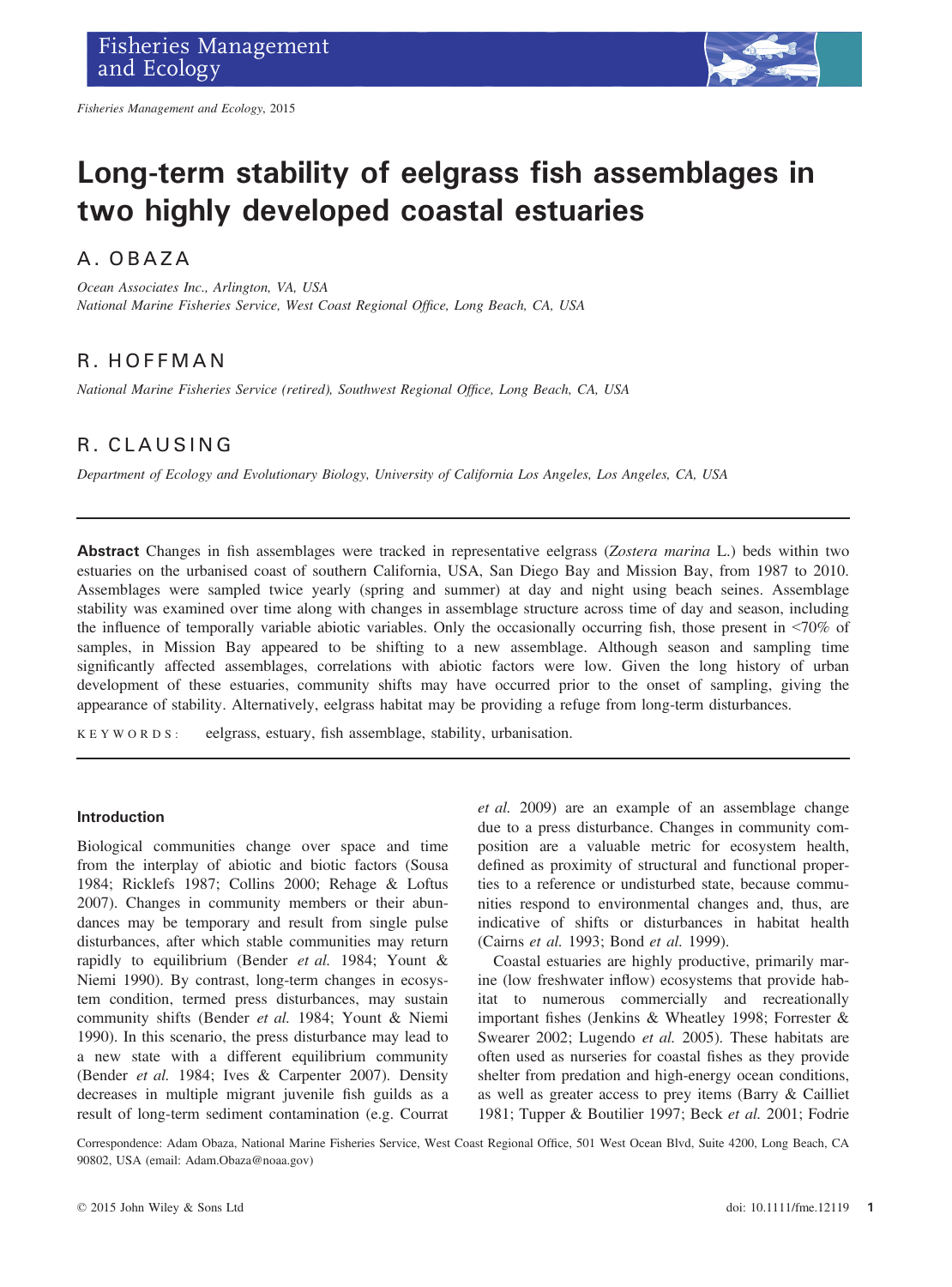

# Long-term stability of eelgrass fish assemblages in two highly developed coastal estuaries

## A. OBAZA

Ocean Associates Inc., Arlington, VA, USA National Marine Fisheries Service, West Coast Regional Office, Long Beach, CA, USA

## R. HOFFMAN

National Marine Fisheries Service (retired), Southwest Regional Office, Long Beach, CA, USA

## R. CLAUSING

Department of Ecology and Evolutionary Biology, University of California Los Angeles, Los Angeles, CA, USA

Abstract Changes in fish assemblages were tracked in representative eelgrass (Zostera marina L.) beds within two estuaries on the urbanised coast of southern California, USA, San Diego Bay and Mission Bay, from 1987 to 2010. Assemblages were sampled twice yearly (spring and summer) at day and night using beach seines. Assemblage stability was examined over time along with changes in assemblage structure across time of day and season, including the influence of temporally variable abiotic variables. Only the occasionally occurring fish, those present in <70% of samples, in Mission Bay appeared to be shifting to a new assemblage. Although season and sampling time significantly affected assemblages, correlations with abiotic factors were low. Given the long history of urban development of these estuaries, community shifts may have occurred prior to the onset of sampling, giving the appearance of stability. Alternatively, eelgrass habitat may be providing a refuge from long-term disturbances.

KEYWORDS: eelgrass, estuary, fish assemblage, stability, urbanisation.

#### Introduction

Biological communities change over space and time from the interplay of abiotic and biotic factors (Sousa 1984; Ricklefs 1987; Collins 2000; Rehage & Loftus 2007). Changes in community members or their abundances may be temporary and result from single pulse disturbances, after which stable communities may return rapidly to equilibrium (Bender et al. 1984; Yount & Niemi 1990). By contrast, long-term changes in ecosystem condition, termed press disturbances, may sustain community shifts (Bender et al. 1984; Yount & Niemi 1990). In this scenario, the press disturbance may lead to a new state with a different equilibrium community (Bender et al. 1984; Ives & Carpenter 2007). Density decreases in multiple migrant juvenile fish guilds as a result of long-term sediment contamination (e.g. Courrat

et al. 2009) are an example of an assemblage change due to a press disturbance. Changes in community composition are a valuable metric for ecosystem health, defined as proximity of structural and functional properties to a reference or undisturbed state, because communities respond to environmental changes and, thus, are indicative of shifts or disturbances in habitat health (Cairns et al. 1993; Bond et al. 1999).

Coastal estuaries are highly productive, primarily marine (low freshwater inflow) ecosystems that provide habitat to numerous commercially and recreationally important fishes (Jenkins & Wheatley 1998; Forrester & Swearer 2002; Lugendo et al. 2005). These habitats are often used as nurseries for coastal fishes as they provide shelter from predation and high-energy ocean conditions, as well as greater access to prey items (Barry & Cailliet 1981; Tupper & Boutilier 1997; Beck et al. 2001; Fodrie

Correspondence: Adam Obaza, National Marine Fisheries Service, West Coast Regional Office, 501 West Ocean Blvd, Suite 4200, Long Beach, CA 90802, USA (email: Adam.Obaza@noaa.gov)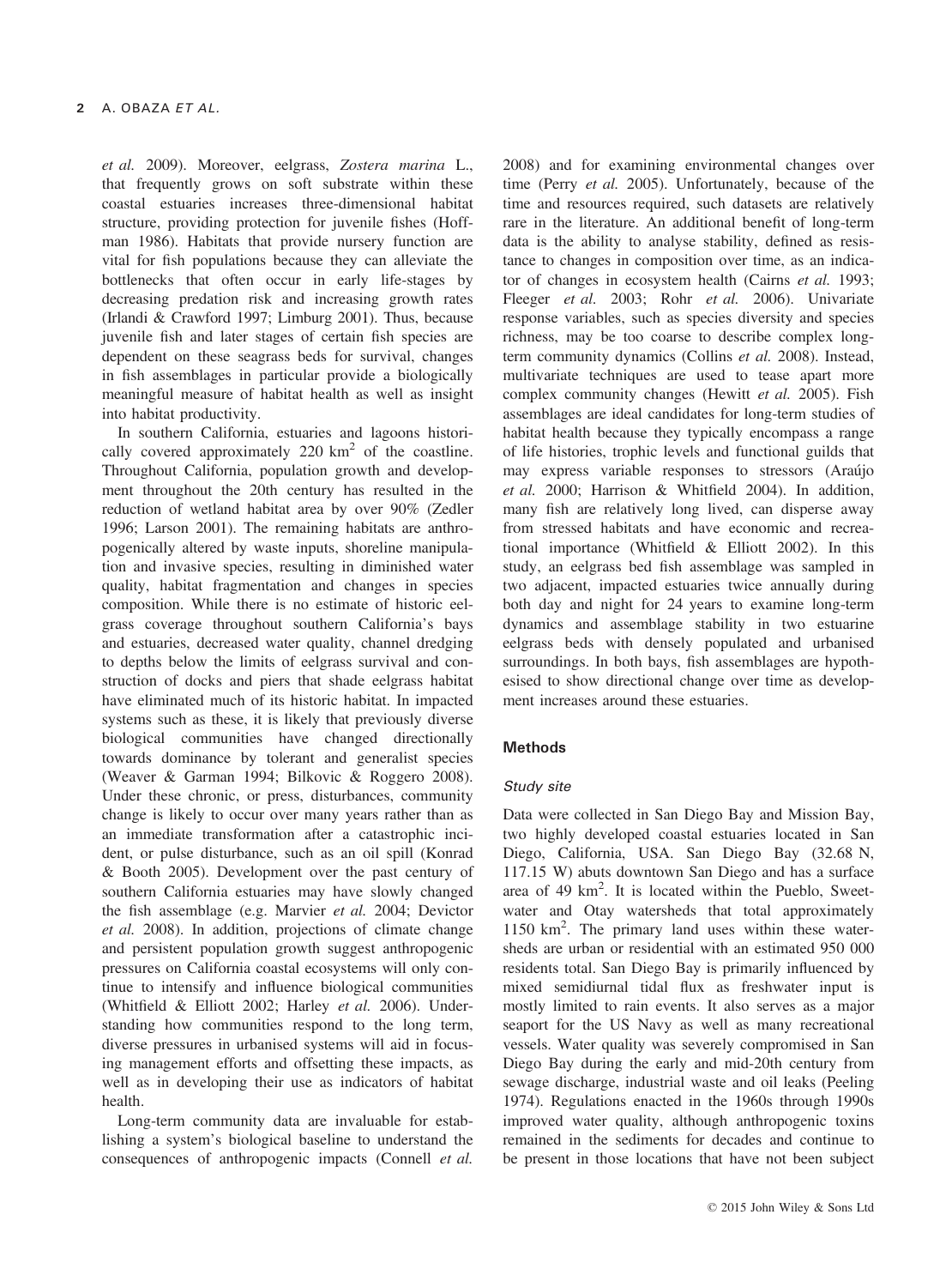et al. 2009). Moreover, eelgrass, Zostera marina L., that frequently grows on soft substrate within these coastal estuaries increases three-dimensional habitat structure, providing protection for juvenile fishes (Hoffman 1986). Habitats that provide nursery function are vital for fish populations because they can alleviate the bottlenecks that often occur in early life-stages by decreasing predation risk and increasing growth rates (Irlandi & Crawford 1997; Limburg 2001). Thus, because juvenile fish and later stages of certain fish species are dependent on these seagrass beds for survival, changes in fish assemblages in particular provide a biologically meaningful measure of habitat health as well as insight into habitat productivity.

In southern California, estuaries and lagoons historically covered approximately  $220 \text{ km}^2$  of the coastline. Throughout California, population growth and development throughout the 20th century has resulted in the reduction of wetland habitat area by over 90% (Zedler 1996; Larson 2001). The remaining habitats are anthropogenically altered by waste inputs, shoreline manipulation and invasive species, resulting in diminished water quality, habitat fragmentation and changes in species composition. While there is no estimate of historic eelgrass coverage throughout southern California's bays and estuaries, decreased water quality, channel dredging to depths below the limits of eelgrass survival and construction of docks and piers that shade eelgrass habitat have eliminated much of its historic habitat. In impacted systems such as these, it is likely that previously diverse biological communities have changed directionally towards dominance by tolerant and generalist species (Weaver & Garman 1994; Bilkovic & Roggero 2008). Under these chronic, or press, disturbances, community change is likely to occur over many years rather than as an immediate transformation after a catastrophic incident, or pulse disturbance, such as an oil spill (Konrad & Booth 2005). Development over the past century of southern California estuaries may have slowly changed the fish assemblage (e.g. Marvier et al. 2004; Devictor et al. 2008). In addition, projections of climate change and persistent population growth suggest anthropogenic pressures on California coastal ecosystems will only continue to intensify and influence biological communities (Whitfield & Elliott 2002; Harley et al. 2006). Understanding how communities respond to the long term, diverse pressures in urbanised systems will aid in focusing management efforts and offsetting these impacts, as well as in developing their use as indicators of habitat health.

Long-term community data are invaluable for establishing a system's biological baseline to understand the consequences of anthropogenic impacts (Connell et al.

2008) and for examining environmental changes over time (Perry *et al.* 2005). Unfortunately, because of the time and resources required, such datasets are relatively rare in the literature. An additional benefit of long-term data is the ability to analyse stability, defined as resistance to changes in composition over time, as an indicator of changes in ecosystem health (Cairns et al. 1993; Fleeger et al. 2003; Rohr et al. 2006). Univariate response variables, such as species diversity and species richness, may be too coarse to describe complex longterm community dynamics (Collins et al. 2008). Instead, multivariate techniques are used to tease apart more complex community changes (Hewitt et al. 2005). Fish assemblages are ideal candidates for long-term studies of habitat health because they typically encompass a range of life histories, trophic levels and functional guilds that may express variable responses to stressors (Araujo et al. 2000; Harrison & Whitfield 2004). In addition, many fish are relatively long lived, can disperse away from stressed habitats and have economic and recreational importance (Whitfield & Elliott 2002). In this study, an eelgrass bed fish assemblage was sampled in two adjacent, impacted estuaries twice annually during both day and night for 24 years to examine long-term dynamics and assemblage stability in two estuarine eelgrass beds with densely populated and urbanised surroundings. In both bays, fish assemblages are hypothesised to show directional change over time as development increases around these estuaries.

#### **Methods**

#### Study site

Data were collected in San Diego Bay and Mission Bay, two highly developed coastal estuaries located in San Diego, California, USA. San Diego Bay (32.68 N, 117.15 W) abuts downtown San Diego and has a surface area of 49 km<sup>2</sup>. It is located within the Pueblo, Sweetwater and Otay watersheds that total approximately 1150 km2 . The primary land uses within these watersheds are urban or residential with an estimated 950 000 residents total. San Diego Bay is primarily influenced by mixed semidiurnal tidal flux as freshwater input is mostly limited to rain events. It also serves as a major seaport for the US Navy as well as many recreational vessels. Water quality was severely compromised in San Diego Bay during the early and mid-20th century from sewage discharge, industrial waste and oil leaks (Peeling 1974). Regulations enacted in the 1960s through 1990s improved water quality, although anthropogenic toxins remained in the sediments for decades and continue to be present in those locations that have not been subject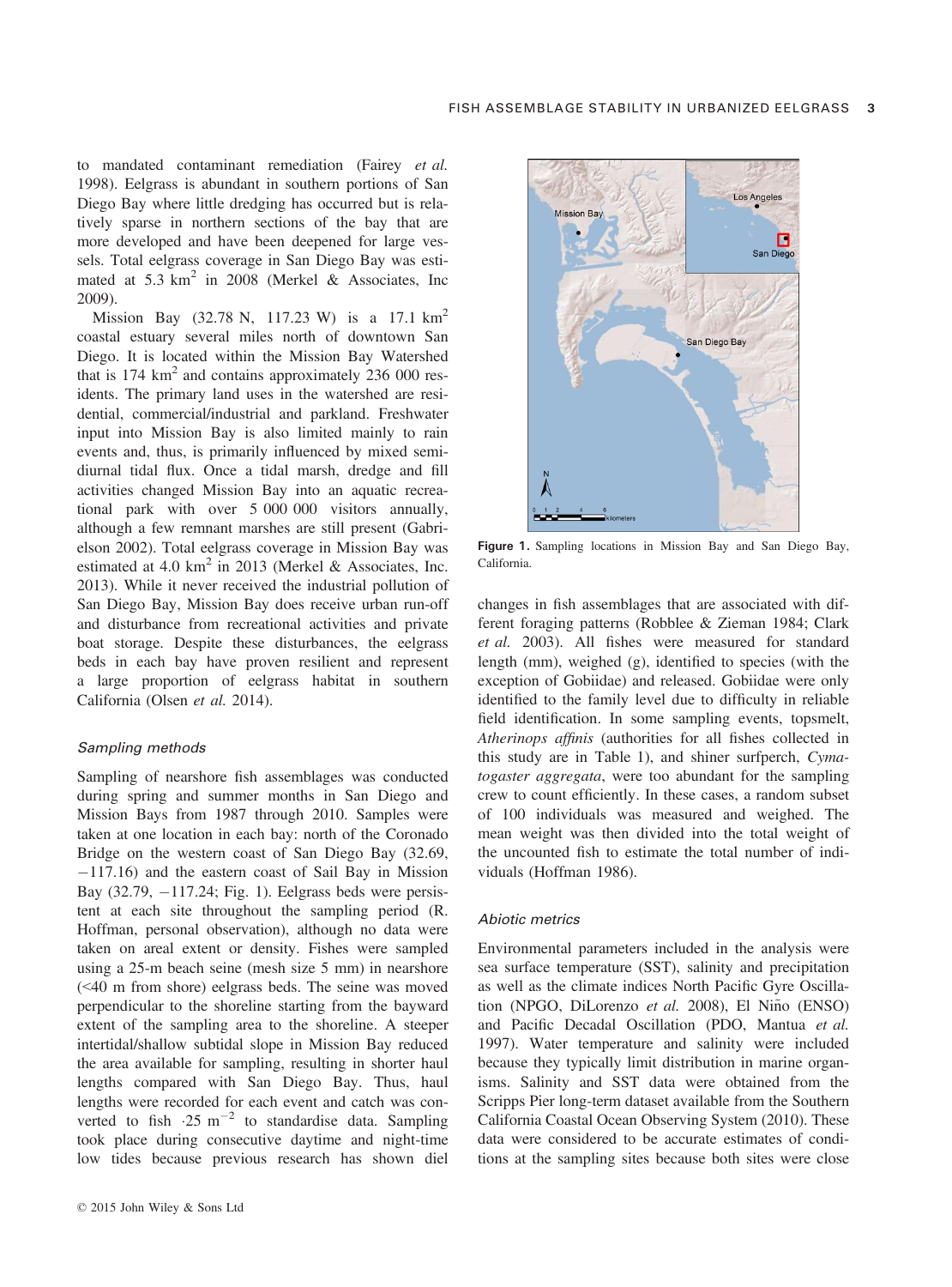to mandated contaminant remediation (Fairey et al. 1998). Eelgrass is abundant in southern portions of San Diego Bay where little dredging has occurred but is relatively sparse in northern sections of the bay that are more developed and have been deepened for large vessels. Total eelgrass coverage in San Diego Bay was estimated at  $5.3 \text{ km}^2$  in 2008 (Merkel & Associates, Inc. 2009).

Mission Bay (32.78 N, 117.23 W) is a 17.1 km<sup>2</sup> coastal estuary several miles north of downtown San Diego. It is located within the Mission Bay Watershed that is  $174 \text{ km}^2$  and contains approximately  $236\text{ }000 \text{ res}$ idents. The primary land uses in the watershed are residential, commercial/industrial and parkland. Freshwater input into Mission Bay is also limited mainly to rain events and, thus, is primarily influenced by mixed semidiurnal tidal flux. Once a tidal marsh, dredge and fill activities changed Mission Bay into an aquatic recreational park with over 5 000 000 visitors annually, although a few remnant marshes are still present (Gabrielson 2002). Total eelgrass coverage in Mission Bay was estimated at 4.0  $km^2$  in 2013 (Merkel & Associates, Inc. 2013). While it never received the industrial pollution of San Diego Bay, Mission Bay does receive urban run-off and disturbance from recreational activities and private boat storage. Despite these disturbances, the eelgrass beds in each bay have proven resilient and represent a large proportion of eelgrass habitat in southern California (Olsen et al. 2014).

#### Sampling methods

Sampling of nearshore fish assemblages was conducted during spring and summer months in San Diego and Mission Bays from 1987 through 2010. Samples were taken at one location in each bay: north of the Coronado Bridge on the western coast of San Diego Bay (32.69,  $-117.16$ ) and the eastern coast of Sail Bay in Mission Bay  $(32.79, -117.24; Fig. 1)$ . Eelgrass beds were persistent at each site throughout the sampling period (R. Hoffman, personal observation), although no data were taken on areal extent or density. Fishes were sampled using a 25-m beach seine (mesh size 5 mm) in nearshore (<40 m from shore) eelgrass beds. The seine was moved perpendicular to the shoreline starting from the bayward extent of the sampling area to the shoreline. A steeper intertidal/shallow subtidal slope in Mission Bay reduced the area available for sampling, resulting in shorter haul lengths compared with San Diego Bay. Thus, haul lengths were recorded for each event and catch was converted to fish  $\cdot 25 \text{ m}^{-2}$  to standardise data. Sampling took place during consecutive daytime and night-time low tides because previous research has shown diel



Figure 1. Sampling locations in Mission Bay and San Diego Bay, California.

changes in fish assemblages that are associated with different foraging patterns (Robblee & Zieman 1984; Clark et al. 2003). All fishes were measured for standard length (mm), weighed (g), identified to species (with the exception of Gobiidae) and released. Gobiidae were only identified to the family level due to difficulty in reliable field identification. In some sampling events, topsmelt, Atherinops affinis (authorities for all fishes collected in this study are in Table 1), and shiner surfperch, Cymatogaster aggregata, were too abundant for the sampling crew to count efficiently. In these cases, a random subset of 100 individuals was measured and weighed. The mean weight was then divided into the total weight of the uncounted fish to estimate the total number of individuals (Hoffman 1986).

#### Abiotic metrics

Environmental parameters included in the analysis were sea surface temperature (SST), salinity and precipitation as well as the climate indices North Pacific Gyre Oscillation (NPGO, DiLorenzo et al. 2008), El Niño (ENSO) and Pacific Decadal Oscillation (PDO, Mantua et al. 1997). Water temperature and salinity were included because they typically limit distribution in marine organisms. Salinity and SST data were obtained from the Scripps Pier long-term dataset available from the Southern California Coastal Ocean Observing System (2010). These data were considered to be accurate estimates of conditions at the sampling sites because both sites were close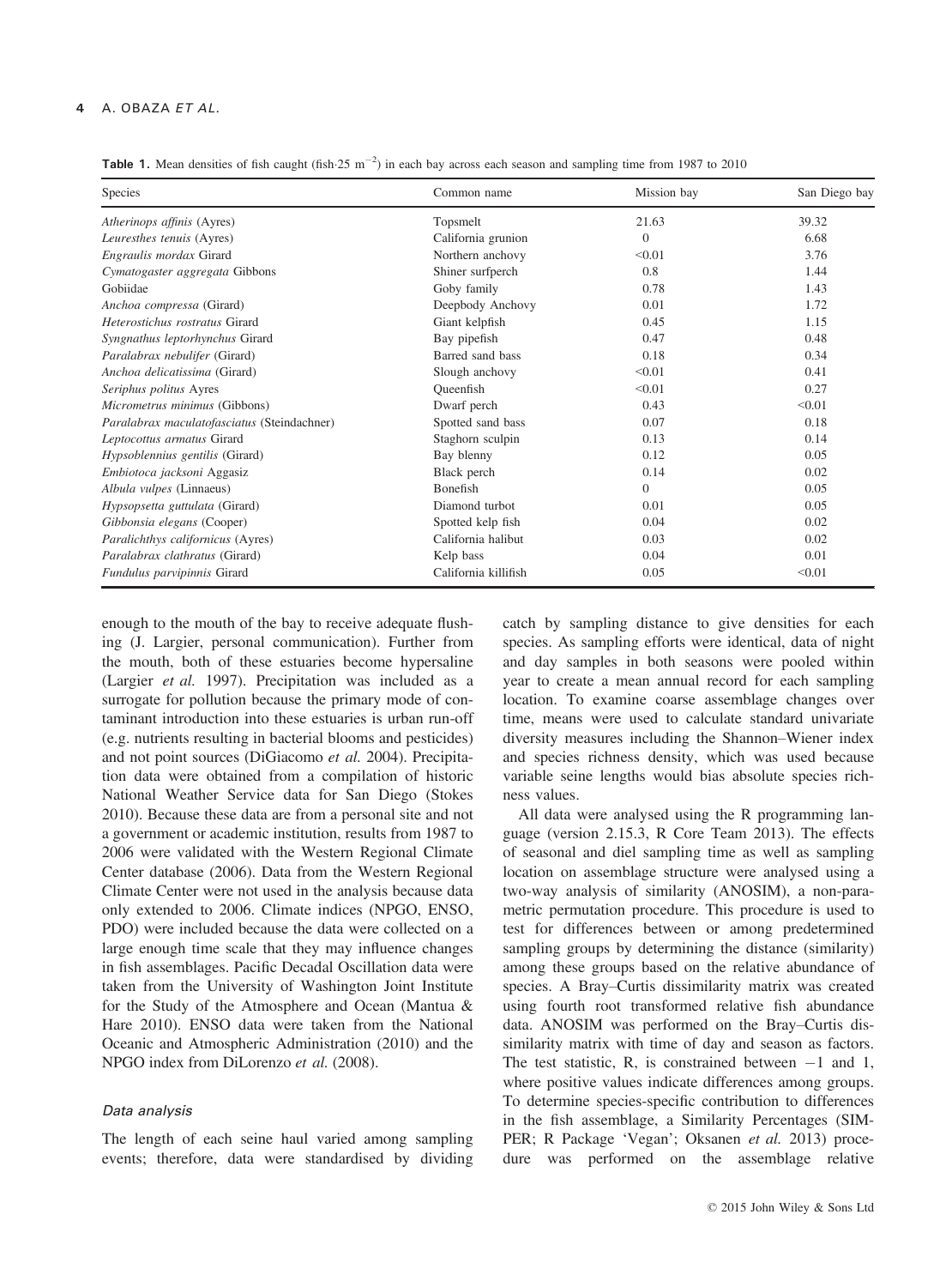#### A. OBAZA ET AL.

**Table 1.** Mean densities of fish caught (fish  $25 \text{ m}^{-2}$ ) in each bay across each season and sampling time from 1987 to 2010

| Species                                     | Common name          | Mission bay | San Diego bay |
|---------------------------------------------|----------------------|-------------|---------------|
| Atherinops affinis (Ayres)                  | Topsmelt             | 21.63       | 39.32         |
| Leuresthes tenuis (Ayres)                   | California grunion   | $\Omega$    | 6.68          |
| Engraulis mordax Girard                     | Northern anchovy     | < 0.01      | 3.76          |
| Cymatogaster aggregata Gibbons              | Shiner surfperch     | 0.8         | 1.44          |
| Gobiidae                                    | Goby family          | 0.78        | 1.43          |
| Anchoa compressa (Girard)                   | Deepbody Anchovy     | 0.01        | 1.72          |
| Heterostichus rostratus Girard              | Giant kelpfish       | 0.45        | 1.15          |
| Syngnathus leptorhynchus Girard             | Bay pipefish         | 0.47        | 0.48          |
| Paralabrax nebulifer (Girard)               | Barred sand bass     | 0.18        | 0.34          |
| Anchoa delicatissima (Girard)               | Slough anchovy       | < 0.01      | 0.41          |
| Seriphus politus Ayres                      | Oueenfish            | < 0.01      | 0.27          |
| Micrometrus minimus (Gibbons)               | Dwarf perch          | 0.43        | < 0.01        |
| Paralabrax maculatofasciatus (Steindachner) | Spotted sand bass    | 0.07        | 0.18          |
| Leptocottus armatus Girard                  | Staghorn sculpin     | 0.13        | 0.14          |
| Hypsoblennius gentilis (Girard)             | Bay blenny           | 0.12        | 0.05          |
| Embiotoca jacksoni Aggasiz                  | Black perch          | 0.14        | 0.02          |
| Albula vulpes (Linnaeus)                    | <b>Bonefish</b>      | $\Omega$    | 0.05          |
| Hypsopsetta guttulata (Girard)              | Diamond turbot       | 0.01        | 0.05          |
| Gibbonsia elegans (Cooper)                  | Spotted kelp fish    | 0.04        | 0.02          |
| Paralichthys californicus (Ayres)           | California halibut   | 0.03        | 0.02          |
| Paralabrax clathratus (Girard)              | Kelp bass            | 0.04        | 0.01          |
| Fundulus parvipinnis Girard                 | California killifish | 0.05        | < 0.01        |

enough to the mouth of the bay to receive adequate flushing (J. Largier, personal communication). Further from the mouth, both of these estuaries become hypersaline (Largier et al. 1997). Precipitation was included as a surrogate for pollution because the primary mode of contaminant introduction into these estuaries is urban run-off (e.g. nutrients resulting in bacterial blooms and pesticides) and not point sources (DiGiacomo et al. 2004). Precipitation data were obtained from a compilation of historic National Weather Service data for San Diego (Stokes 2010). Because these data are from a personal site and not a government or academic institution, results from 1987 to 2006 were validated with the Western Regional Climate Center database (2006). Data from the Western Regional Climate Center were not used in the analysis because data only extended to 2006. Climate indices (NPGO, ENSO, PDO) were included because the data were collected on a large enough time scale that they may influence changes in fish assemblages. Pacific Decadal Oscillation data were taken from the University of Washington Joint Institute for the Study of the Atmosphere and Ocean (Mantua & Hare 2010). ENSO data were taken from the National Oceanic and Atmospheric Administration (2010) and the NPGO index from DiLorenzo et al. (2008).

#### Data analysis

The length of each seine haul varied among sampling events; therefore, data were standardised by dividing

catch by sampling distance to give densities for each species. As sampling efforts were identical, data of night and day samples in both seasons were pooled within year to create a mean annual record for each sampling location. To examine coarse assemblage changes over time, means were used to calculate standard univariate diversity measures including the Shannon–Wiener index and species richness density, which was used because variable seine lengths would bias absolute species richness values.

All data were analysed using the R programming language (version 2.15.3, R Core Team 2013). The effects of seasonal and diel sampling time as well as sampling location on assemblage structure were analysed using a two-way analysis of similarity (ANOSIM), a non-parametric permutation procedure. This procedure is used to test for differences between or among predetermined sampling groups by determining the distance (similarity) among these groups based on the relative abundance of species. A Bray–Curtis dissimilarity matrix was created using fourth root transformed relative fish abundance data. ANOSIM was performed on the Bray–Curtis dissimilarity matrix with time of day and season as factors. The test statistic, R, is constrained between  $-1$  and 1, where positive values indicate differences among groups. To determine species-specific contribution to differences in the fish assemblage, a Similarity Percentages (SIM-PER; R Package 'Vegan'; Oksanen et al. 2013) procedure was performed on the assemblage relative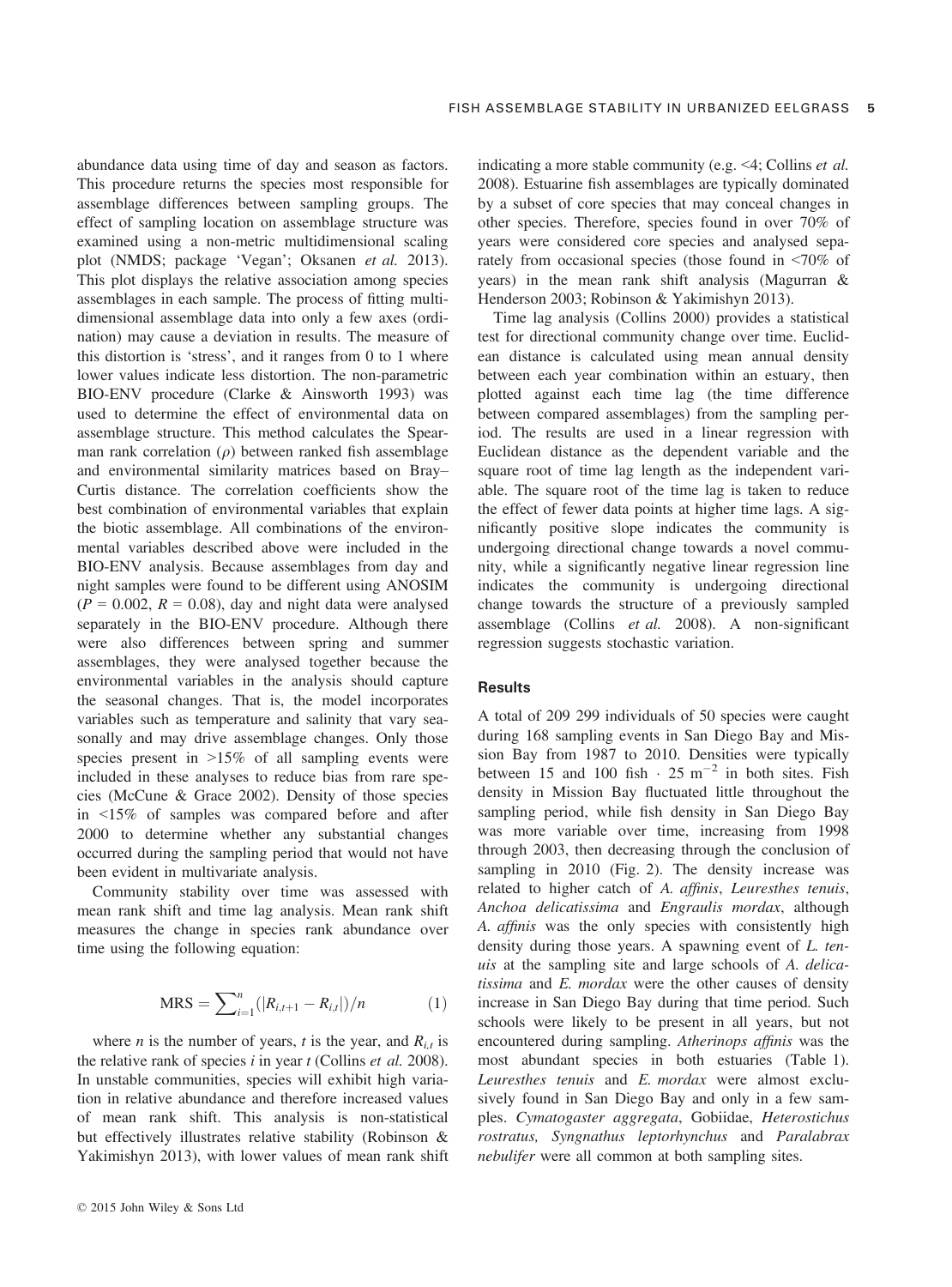abundance data using time of day and season as factors. This procedure returns the species most responsible for assemblage differences between sampling groups. The effect of sampling location on assemblage structure was examined using a non-metric multidimensional scaling plot (NMDS; package 'Vegan'; Oksanen et al. 2013). This plot displays the relative association among species assemblages in each sample. The process of fitting multidimensional assemblage data into only a few axes (ordination) may cause a deviation in results. The measure of this distortion is 'stress', and it ranges from 0 to 1 where lower values indicate less distortion. The non-parametric BIO-ENV procedure (Clarke & Ainsworth 1993) was used to determine the effect of environmental data on assemblage structure. This method calculates the Spearman rank correlation  $(\rho)$  between ranked fish assemblage and environmental similarity matrices based on Bray– Curtis distance. The correlation coefficients show the best combination of environmental variables that explain the biotic assemblage. All combinations of the environmental variables described above were included in the BIO-ENV analysis. Because assemblages from day and night samples were found to be different using ANOSIM  $(P = 0.002, R = 0.08)$ , day and night data were analysed separately in the BIO-ENV procedure. Although there were also differences between spring and summer assemblages, they were analysed together because the environmental variables in the analysis should capture the seasonal changes. That is, the model incorporates variables such as temperature and salinity that vary seasonally and may drive assemblage changes. Only those species present in >15% of all sampling events were included in these analyses to reduce bias from rare species (McCune & Grace 2002). Density of those species in <15% of samples was compared before and after 2000 to determine whether any substantial changes occurred during the sampling period that would not have been evident in multivariate analysis.

Community stability over time was assessed with mean rank shift and time lag analysis. Mean rank shift measures the change in species rank abundance over time using the following equation:

$$
MRS = \sum_{i=1}^{n} (|R_{i,t+1} - R_{i,t}|)/n
$$
 (1)

where *n* is the number of years, *t* is the year, and  $R_{i,t}$  is the relative rank of species  $i$  in year  $t$  (Collins  $et$  al. 2008). In unstable communities, species will exhibit high variation in relative abundance and therefore increased values of mean rank shift. This analysis is non-statistical but effectively illustrates relative stability (Robinson & Yakimishyn 2013), with lower values of mean rank shift indicating a more stable community (e.g. <4; Collins et al. 2008). Estuarine fish assemblages are typically dominated by a subset of core species that may conceal changes in other species. Therefore, species found in over 70% of years were considered core species and analysed separately from occasional species (those found in <70% of years) in the mean rank shift analysis (Magurran & Henderson 2003; Robinson & Yakimishyn 2013).

Time lag analysis (Collins 2000) provides a statistical test for directional community change over time. Euclidean distance is calculated using mean annual density between each year combination within an estuary, then plotted against each time lag (the time difference between compared assemblages) from the sampling period. The results are used in a linear regression with Euclidean distance as the dependent variable and the square root of time lag length as the independent variable. The square root of the time lag is taken to reduce the effect of fewer data points at higher time lags. A significantly positive slope indicates the community is undergoing directional change towards a novel community, while a significantly negative linear regression line indicates the community is undergoing directional change towards the structure of a previously sampled assemblage (Collins et al. 2008). A non-significant regression suggests stochastic variation.

#### **Results**

A total of 209 299 individuals of 50 species were caught during 168 sampling events in San Diego Bay and Mission Bay from 1987 to 2010. Densities were typically between 15 and 100 fish  $\cdot$  25 m<sup>-2</sup> in both sites. Fish density in Mission Bay fluctuated little throughout the sampling period, while fish density in San Diego Bay was more variable over time, increasing from 1998 through 2003, then decreasing through the conclusion of sampling in 2010 (Fig. 2). The density increase was related to higher catch of A. affinis, Leuresthes tenuis, Anchoa delicatissima and Engraulis mordax, although A. affinis was the only species with consistently high density during those years. A spawning event of L. tenuis at the sampling site and large schools of A. delicatissima and E. mordax were the other causes of density increase in San Diego Bay during that time period. Such schools were likely to be present in all years, but not encountered during sampling. Atherinops affinis was the most abundant species in both estuaries (Table 1). Leuresthes tenuis and E. mordax were almost exclusively found in San Diego Bay and only in a few samples. Cymatogaster aggregata, Gobiidae, Heterostichus rostratus, Syngnathus leptorhynchus and Paralabrax nebulifer were all common at both sampling sites.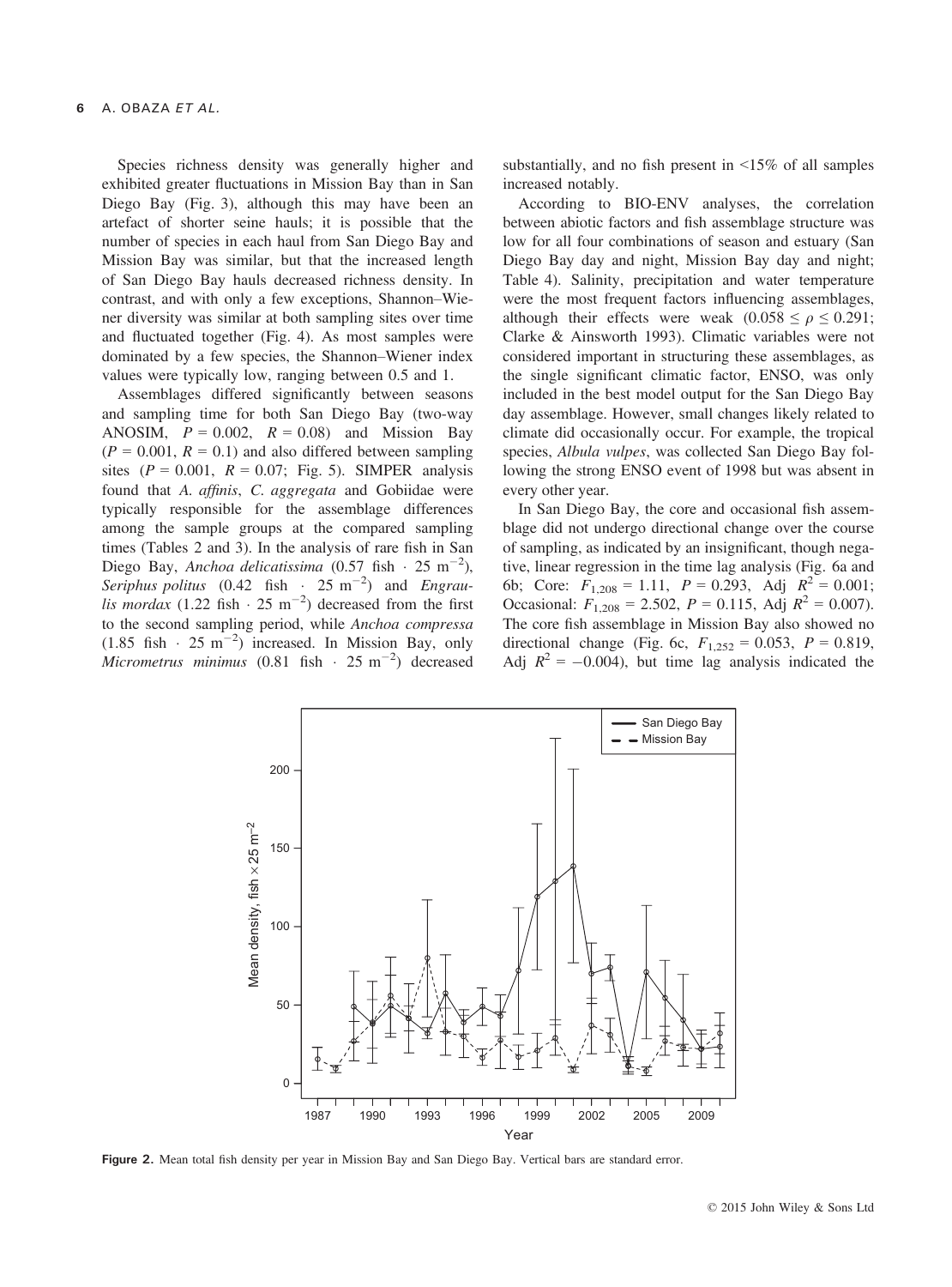Species richness density was generally higher and exhibited greater fluctuations in Mission Bay than in San Diego Bay (Fig. 3), although this may have been an artefact of shorter seine hauls; it is possible that the number of species in each haul from San Diego Bay and Mission Bay was similar, but that the increased length of San Diego Bay hauls decreased richness density. In contrast, and with only a few exceptions, Shannon–Wiener diversity was similar at both sampling sites over time and fluctuated together (Fig. 4). As most samples were dominated by a few species, the Shannon–Wiener index values were typically low, ranging between 0.5 and 1.

Assemblages differed significantly between seasons and sampling time for both San Diego Bay (two-way ANOSIM,  $P = 0.002$ ,  $R = 0.08$  and Mission Bay  $(P = 0.001, R = 0.1)$  and also differed between sampling sites ( $P = 0.001$ ,  $R = 0.07$ ; Fig. 5). SIMPER analysis found that A. affinis, C. aggregata and Gobiidae were typically responsible for the assemblage differences among the sample groups at the compared sampling times (Tables 2 and 3). In the analysis of rare fish in San Diego Bay, Anchoa delicatissima (0.57 fish  $\cdot$  25 m<sup>-2</sup>), Seriphus politus  $(0.42 \text{ fish} \cdot 25 \text{ m}^{-2})$  and Engraulis mordax  $(1.22 \text{ fish} \cdot 25 \text{ m}^{-2})$  decreased from the first to the second sampling period, while Anchoa compressa  $(1.85 \text{ fish} \cdot 25 \text{ m}^{-2})$  increased. In Mission Bay, only Micrometrus minimus  $(0.81 \text{ fish} \cdot 25 \text{ m}^{-2})$  decreased

substantially, and no fish present in <15% of all samples increased notably.

According to BIO-ENV analyses, the correlation between abiotic factors and fish assemblage structure was low for all four combinations of season and estuary (San Diego Bay day and night, Mission Bay day and night; Table 4). Salinity, precipitation and water temperature were the most frequent factors influencing assemblages, although their effects were weak  $(0.058 \le \rho \le 0.291)$ ; Clarke & Ainsworth 1993). Climatic variables were not considered important in structuring these assemblages, as the single significant climatic factor, ENSO, was only included in the best model output for the San Diego Bay day assemblage. However, small changes likely related to climate did occasionally occur. For example, the tropical species, Albula vulpes, was collected San Diego Bay following the strong ENSO event of 1998 but was absent in every other year.

In San Diego Bay, the core and occasional fish assemblage did not undergo directional change over the course of sampling, as indicated by an insignificant, though negative, linear regression in the time lag analysis (Fig. 6a and 6b; Core:  $F_{1,208} = 1.11$ ,  $P = 0.293$ , Adj  $R^2 = 0.001$ ; Occasional:  $F_{1,208} = 2.502$ ,  $P = 0.115$ , Adj  $R^2 = 0.007$ ). The core fish assemblage in Mission Bay also showed no directional change (Fig. 6c,  $F_{1,252} = 0.053$ ,  $P = 0.819$ , Adj  $R^2 = -0.004$ , but time lag analysis indicated the



Figure 2. Mean total fish density per year in Mission Bay and San Diego Bay. Vertical bars are standard error.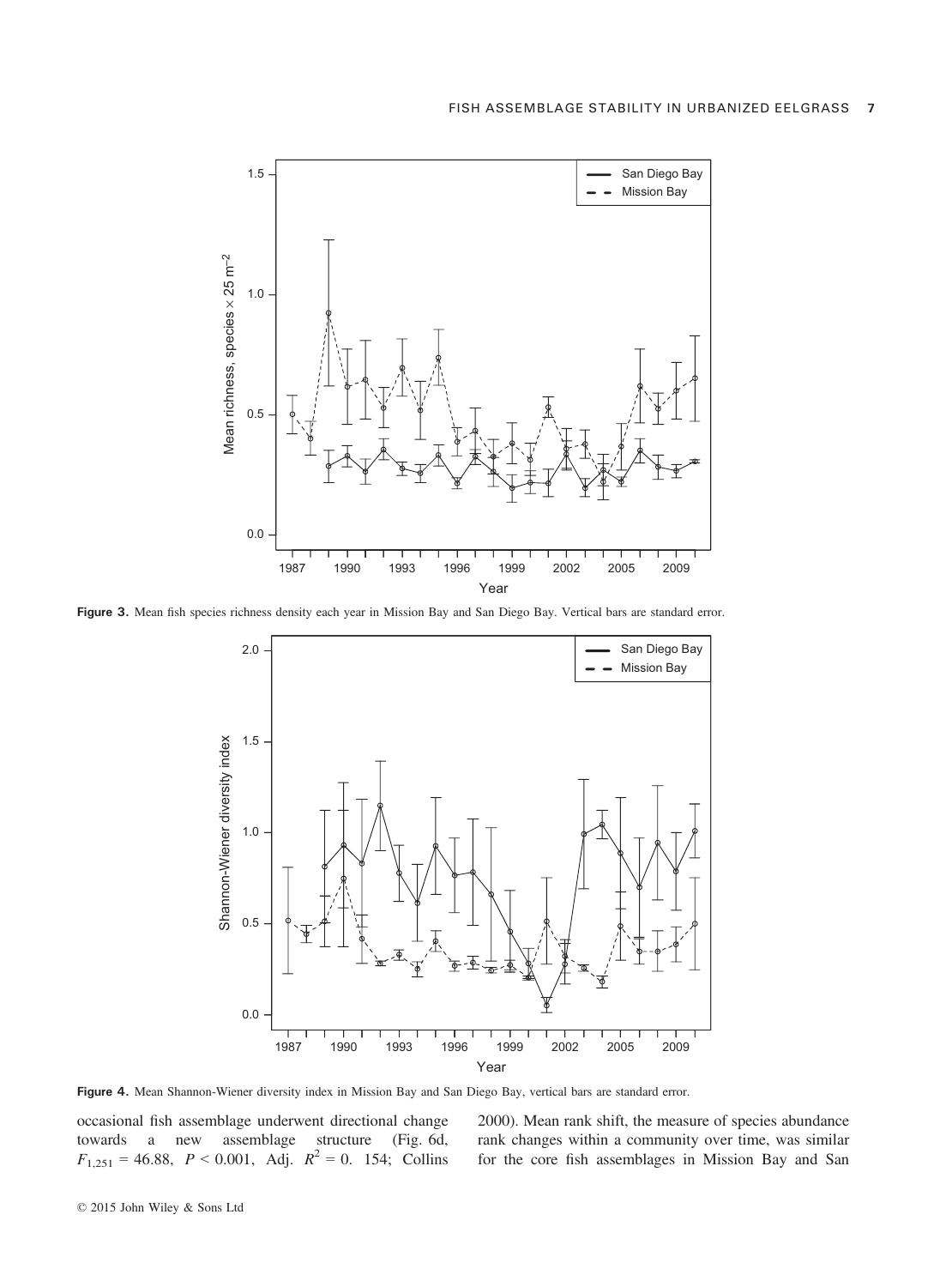

Figure 3. Mean fish species richness density each year in Mission Bay and San Diego Bay. Vertical bars are standard error.



Figure 4. Mean Shannon-Wiener diversity index in Mission Bay and San Diego Bay, vertical bars are standard error.

occasional fish assemblage underwent directional change towards a new assemblage structure (Fig. 6d,  $F_{1,251} = 46.88$ ,  $P < 0.001$ , Adj.  $R^2 = 0$ . 154; Collins

2000). Mean rank shift, the measure of species abundance rank changes within a community over time, was similar for the core fish assemblages in Mission Bay and San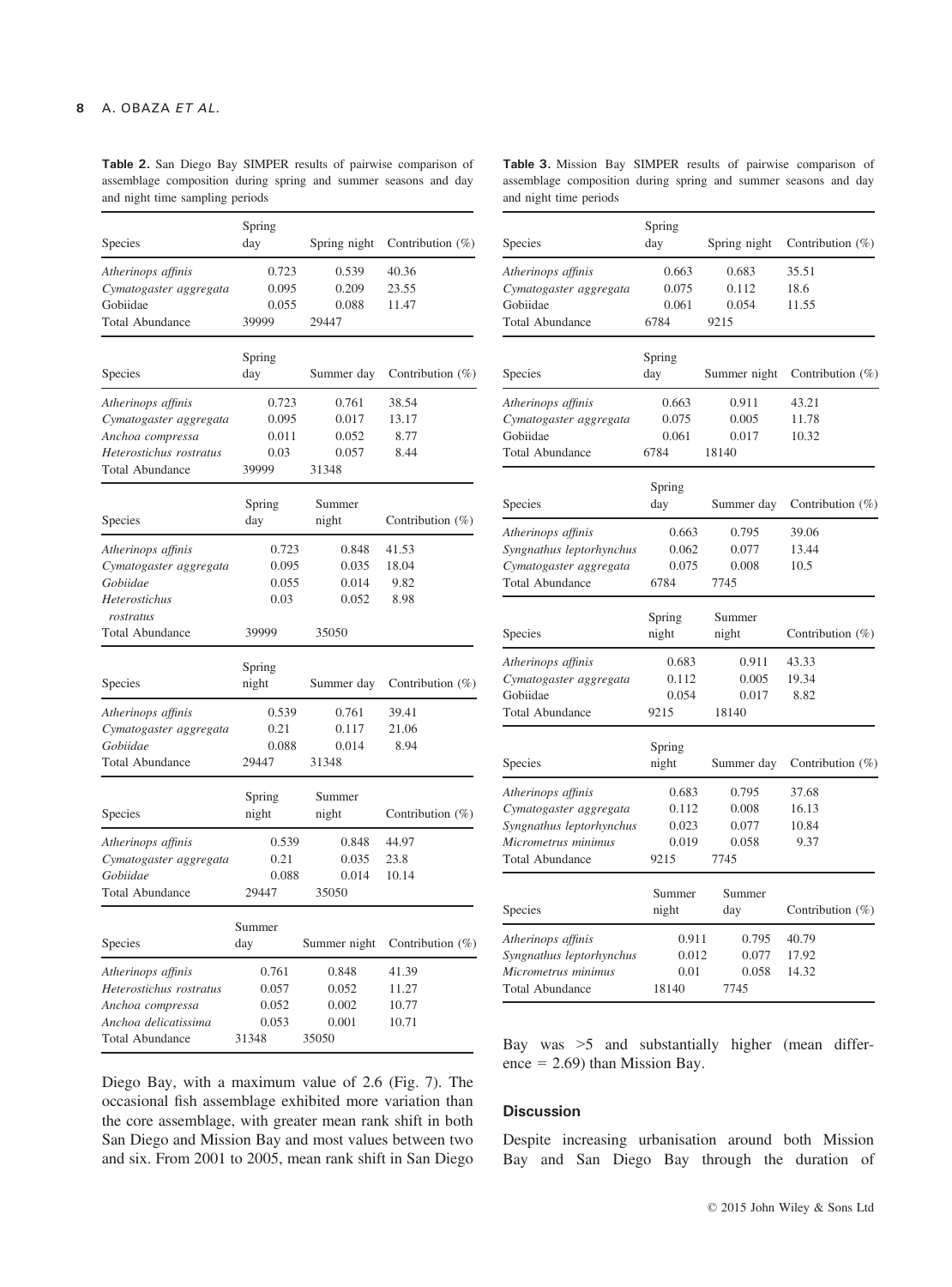Table 2. San Diego Bay SIMPER results of pairwise comparison of assemblage composition during spring and summer seasons and day and night time sampling periods

|                         | Spring |              |                     |  |  |
|-------------------------|--------|--------------|---------------------|--|--|
| Species                 | day    | Spring night | Contribution $(\%)$ |  |  |
| Atherinops affinis      | 0.723  | 0.539        | 40.36               |  |  |
| Cymatogaster aggregata  | 0.095  | 0.209        | 23.55               |  |  |
| Gobiidae                | 0.055  | 0.088        | 11.47               |  |  |
| <b>Total Abundance</b>  | 39999  | 29447        |                     |  |  |
|                         | Spring |              |                     |  |  |
| Species                 | day    | Summer day   | Contribution $(\%)$ |  |  |
| Atherinops affinis      | 0.723  | 0.761        | 38.54               |  |  |
| Cymatogaster aggregata  | 0.095  | 0.017        | 13.17               |  |  |
| Anchoa compressa        | 0.011  | 0.052        | 8.77                |  |  |
| Heterostichus rostratus | 0.03   | 0.057        | 8.44                |  |  |
| <b>Total Abundance</b>  | 39999  | 31348        |                     |  |  |
|                         | Spring | Summer       |                     |  |  |
| Species                 | day    | night        | Contribution $(\%)$ |  |  |
| Atherinops affinis      | 0.723  | 0.848        | 41.53               |  |  |
| Cymatogaster aggregata  | 0.095  | 0.035        | 18.04               |  |  |
| Gobiidae                | 0.055  | 0.014        | 9.82                |  |  |
| Heterostichus           | 0.03   | 0.052        | 8.98                |  |  |
| rostratus               |        |              |                     |  |  |
| <b>Total Abundance</b>  | 39999  | 35050        |                     |  |  |
|                         | Spring |              |                     |  |  |
| Species                 | night  | Summer day   | Contribution $(\%)$ |  |  |
| Atherinops affinis      | 0.539  | 0.761        | 39.41               |  |  |
| Cymatogaster aggregata  | 0.21   | 0.117        | 21.06               |  |  |
| Gobiidae                | 0.088  | 0.014        | 8.94                |  |  |
| <b>Total Abundance</b>  | 29447  | 31348        |                     |  |  |
|                         | Spring | Summer       |                     |  |  |
| Species                 | night  | night        | Contribution $(\%)$ |  |  |
| Atherinops affinis      | 0.539  | 0.848        | 44.97               |  |  |
| Cymatogaster aggregata  | 0.21   | 0.035        | 23.8                |  |  |
| Gobiidae                | 0.088  | 0.014        | 10.14               |  |  |
| <b>Total Abundance</b>  | 29447  | 35050        |                     |  |  |
|                         | Summer |              |                     |  |  |
| Species                 | day    | Summer night | Contribution (%)    |  |  |
| Atherinops affinis      | 0.761  | 0.848        | 41.39               |  |  |
| Heterostichus rostratus | 0.057  | 0.052        | 11.27               |  |  |
| Anchoa compressa        | 0.052  | 0.002        | 10.77               |  |  |
| Anchoa delicatissima    | 0.053  | 0.001        | 10.71               |  |  |
| <b>Total Abundance</b>  | 31348  | 35050        |                     |  |  |

Table 3. Mission Bay SIMPER results of pairwise comparison of assemblage composition during spring and summer seasons and day and night time periods

| Species                  | Spring<br>day | Spring night  | Contribution (%)     |  |  |
|--------------------------|---------------|---------------|----------------------|--|--|
|                          |               |               |                      |  |  |
| Atherinops affinis       | 0.663         | 0.683         | 35.51                |  |  |
| Cymatogaster aggregata   | 0.075         | 0.112         | 18.6                 |  |  |
| Gobiidae                 | 0.061<br>6784 | 0.054<br>9215 | 11.55                |  |  |
| <b>Total Abundance</b>   |               |               |                      |  |  |
|                          | Spring        |               |                      |  |  |
| Species                  | day           | Summer night  | Contribution $(\% )$ |  |  |
| Atherinops affinis       | 0.663         | 0.911         | 43.21                |  |  |
| Cymatogaster aggregata   | 0.075         | 0.005         | 11.78                |  |  |
| Gobiidae                 | 0.061         | 0.017         | 10.32                |  |  |
| <b>Total Abundance</b>   | 6784          | 18140         |                      |  |  |
|                          | Spring        |               |                      |  |  |
| Species                  | day           | Summer day    | Contribution $(\%)$  |  |  |
| Atherinops affinis       | 0.663         | 0.795         | 39.06                |  |  |
| Syngnathus leptorhynchus | 0.062         | 0.077         | 13.44                |  |  |
| Cymatogaster aggregata   | 0.075         | 0.008         | 10.5                 |  |  |
| <b>Total Abundance</b>   | 6784          | 7745          |                      |  |  |
|                          | Spring        | Summer        |                      |  |  |
| Species                  | night         | night         | Contribution $(\%)$  |  |  |
| Atherinops affinis       | 0.683         | 0.911         | 43.33                |  |  |
| Cymatogaster aggregata   | 0.112         | 0.005         | 19.34                |  |  |
| Gobiidae                 | 0.054         | 0.017         | 8.82                 |  |  |
| <b>Total Abundance</b>   | 9215          | 18140         |                      |  |  |
|                          | Spring        |               |                      |  |  |
| Species                  | night         | Summer day    | Contribution $(\%)$  |  |  |
| Atherinops affinis       | 0.683         | 0.795         | 37.68                |  |  |
| Cymatogaster aggregata   | 0.112         | 0.008         | 16.13                |  |  |
| Syngnathus leptorhynchus | 0.023         | 0.077         | 10.84                |  |  |
| Micrometrus minimus      | 0.019         | 0.058         | 9.37                 |  |  |
| <b>Total Abundance</b>   | 9215          | 7745          |                      |  |  |
|                          | Summer        | Summer        |                      |  |  |
| Species                  | night         | day           | Contribution $(\%)$  |  |  |
| Atherinops affinis       | 0.911         | 0.795         | 40.79                |  |  |
| Syngnathus leptorhynchus | 0.012         | 0.077         | 17.92                |  |  |
| Micrometrus minimus      | 0.01          | 0.058         | 14.32                |  |  |
| <b>Total Abundance</b>   | 18140         | 7745          |                      |  |  |

Diego Bay, with a maximum value of 2.6 (Fig. 7). The occasional fish assemblage exhibited more variation than the core assemblage, with greater mean rank shift in both San Diego and Mission Bay and most values between two and six. From 2001 to 2005, mean rank shift in San Diego Bay was >5 and substantially higher (mean difference  $= 2.69$ ) than Mission Bay.

#### **Discussion**

Despite increasing urbanisation around both Mission Bay and San Diego Bay through the duration of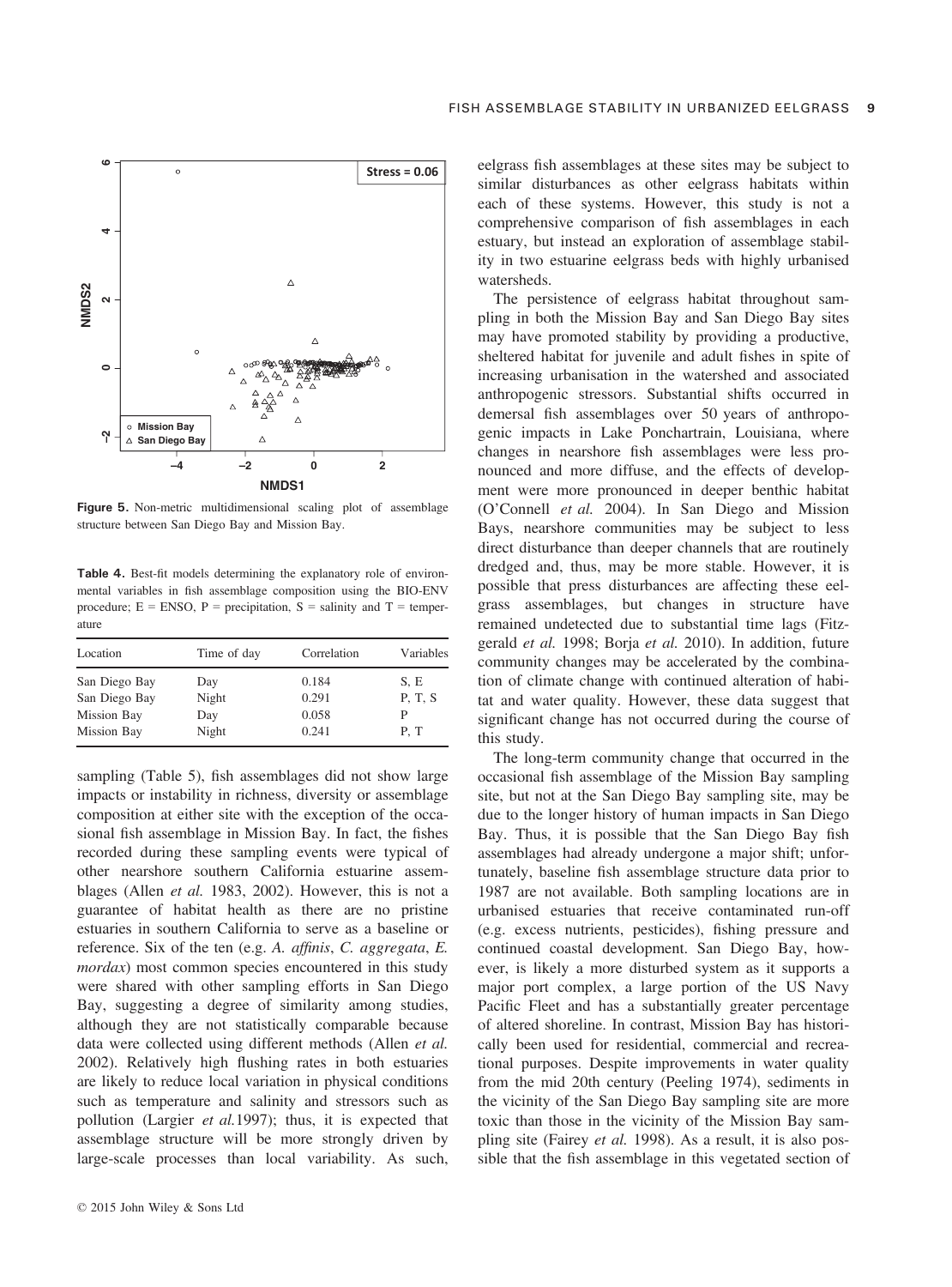

Figure 5. Non-metric multidimensional scaling plot of assemblage structure between San Diego Bay and Mission Bay.

Table 4. Best-fit models determining the explanatory role of environmental variables in fish assemblage composition using the BIO-ENV procedure;  $E = ENSO$ ,  $P = \text{precipitation}$ ,  $S = \text{sality}$  and  $T = \text{temperature}$ . ature

| Location           | Time of day | Correlation | Variables |
|--------------------|-------------|-------------|-----------|
| San Diego Bay      | Day         | 0.184       | S, E      |
| San Diego Bay      | Night       | 0.291       | P. T. S   |
| <b>Mission Bay</b> | Day         | 0.058       | P         |
| <b>Mission Bay</b> | Night       | 0.241       | P.T       |

sampling (Table 5), fish assemblages did not show large impacts or instability in richness, diversity or assemblage composition at either site with the exception of the occasional fish assemblage in Mission Bay. In fact, the fishes recorded during these sampling events were typical of other nearshore southern California estuarine assemblages (Allen et al. 1983, 2002). However, this is not a guarantee of habitat health as there are no pristine estuaries in southern California to serve as a baseline or reference. Six of the ten (e.g. A. affinis, C. aggregata, E. mordax) most common species encountered in this study were shared with other sampling efforts in San Diego Bay, suggesting a degree of similarity among studies, although they are not statistically comparable because data were collected using different methods (Allen et al. 2002). Relatively high flushing rates in both estuaries are likely to reduce local variation in physical conditions such as temperature and salinity and stressors such as pollution (Largier et al.1997); thus, it is expected that assemblage structure will be more strongly driven by large-scale processes than local variability. As such,

eelgrass fish assemblages at these sites may be subject to similar disturbances as other eelgrass habitats within each of these systems. However, this study is not a comprehensive comparison of fish assemblages in each estuary, but instead an exploration of assemblage stability in two estuarine eelgrass beds with highly urbanised watersheds.

The persistence of eelgrass habitat throughout sampling in both the Mission Bay and San Diego Bay sites may have promoted stability by providing a productive, sheltered habitat for juvenile and adult fishes in spite of increasing urbanisation in the watershed and associated anthropogenic stressors. Substantial shifts occurred in demersal fish assemblages over 50 years of anthropogenic impacts in Lake Ponchartrain, Louisiana, where changes in nearshore fish assemblages were less pronounced and more diffuse, and the effects of development were more pronounced in deeper benthic habitat (O'Connell et al. 2004). In San Diego and Mission Bays, nearshore communities may be subject to less direct disturbance than deeper channels that are routinely dredged and, thus, may be more stable. However, it is possible that press disturbances are affecting these eelgrass assemblages, but changes in structure have remained undetected due to substantial time lags (Fitzgerald et al. 1998; Borja et al. 2010). In addition, future community changes may be accelerated by the combination of climate change with continued alteration of habitat and water quality. However, these data suggest that significant change has not occurred during the course of this study.

The long-term community change that occurred in the occasional fish assemblage of the Mission Bay sampling site, but not at the San Diego Bay sampling site, may be due to the longer history of human impacts in San Diego Bay. Thus, it is possible that the San Diego Bay fish assemblages had already undergone a major shift; unfortunately, baseline fish assemblage structure data prior to 1987 are not available. Both sampling locations are in urbanised estuaries that receive contaminated run-off (e.g. excess nutrients, pesticides), fishing pressure and continued coastal development. San Diego Bay, however, is likely a more disturbed system as it supports a major port complex, a large portion of the US Navy Pacific Fleet and has a substantially greater percentage of altered shoreline. In contrast, Mission Bay has historically been used for residential, commercial and recreational purposes. Despite improvements in water quality from the mid 20th century (Peeling 1974), sediments in the vicinity of the San Diego Bay sampling site are more toxic than those in the vicinity of the Mission Bay sampling site (Fairey et al. 1998). As a result, it is also possible that the fish assemblage in this vegetated section of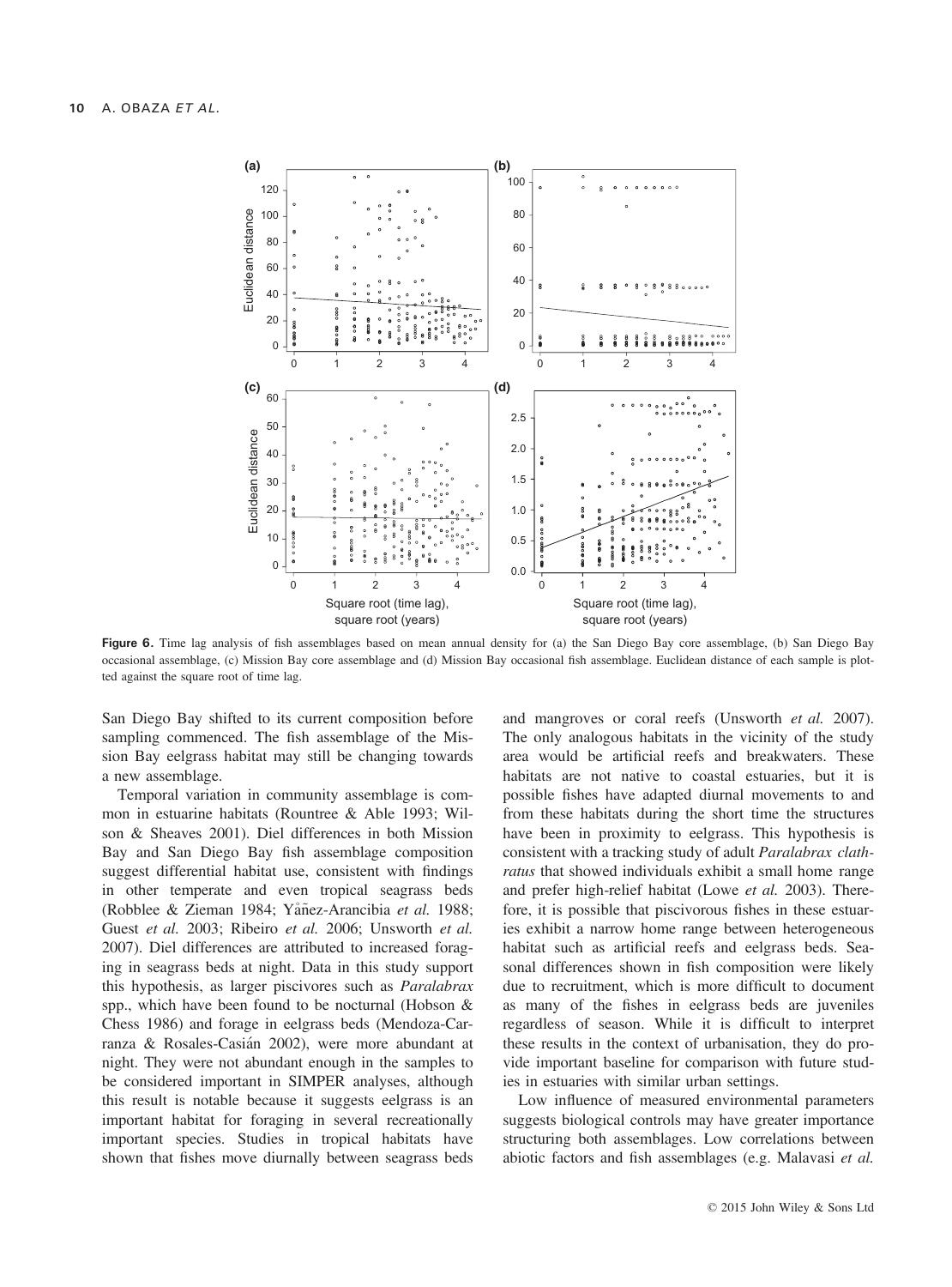

Figure 6. Time lag analysis of fish assemblages based on mean annual density for (a) the San Diego Bay core assemblage, (b) San Diego Bay occasional assemblage, (c) Mission Bay core assemblage and (d) Mission Bay occasional fish assemblage. Euclidean distance of each sample is plotted against the square root of time lag.

San Diego Bay shifted to its current composition before sampling commenced. The fish assemblage of the Mission Bay eelgrass habitat may still be changing towards a new assemblage.

Temporal variation in community assemblage is common in estuarine habitats (Rountree & Able 1993; Wilson & Sheaves 2001). Diel differences in both Mission Bay and San Diego Bay fish assemblage composition suggest differential habitat use, consistent with findings in other temperate and even tropical seagrass beds (Robblee & Zieman 1984; Yåñez-Arancibia et al. 1988; Guest et al. 2003; Ribeiro et al. 2006; Unsworth et al. 2007). Diel differences are attributed to increased foraging in seagrass beds at night. Data in this study support this hypothesis, as larger piscivores such as Paralabrax spp., which have been found to be nocturnal (Hobson & Chess 1986) and forage in eelgrass beds (Mendoza-Carranza & Rosales-Casian 2002), were more abundant at night. They were not abundant enough in the samples to be considered important in SIMPER analyses, although this result is notable because it suggests eelgrass is an important habitat for foraging in several recreationally important species. Studies in tropical habitats have shown that fishes move diurnally between seagrass beds

and mangroves or coral reefs (Unsworth et al. 2007). The only analogous habitats in the vicinity of the study area would be artificial reefs and breakwaters. These habitats are not native to coastal estuaries, but it is possible fishes have adapted diurnal movements to and from these habitats during the short time the structures have been in proximity to eelgrass. This hypothesis is consistent with a tracking study of adult Paralabrax clathratus that showed individuals exhibit a small home range and prefer high-relief habitat (Lowe et al. 2003). Therefore, it is possible that piscivorous fishes in these estuaries exhibit a narrow home range between heterogeneous habitat such as artificial reefs and eelgrass beds. Seasonal differences shown in fish composition were likely due to recruitment, which is more difficult to document as many of the fishes in eelgrass beds are juveniles regardless of season. While it is difficult to interpret these results in the context of urbanisation, they do provide important baseline for comparison with future studies in estuaries with similar urban settings.

Low influence of measured environmental parameters suggests biological controls may have greater importance structuring both assemblages. Low correlations between abiotic factors and fish assemblages (e.g. Malavasi et al.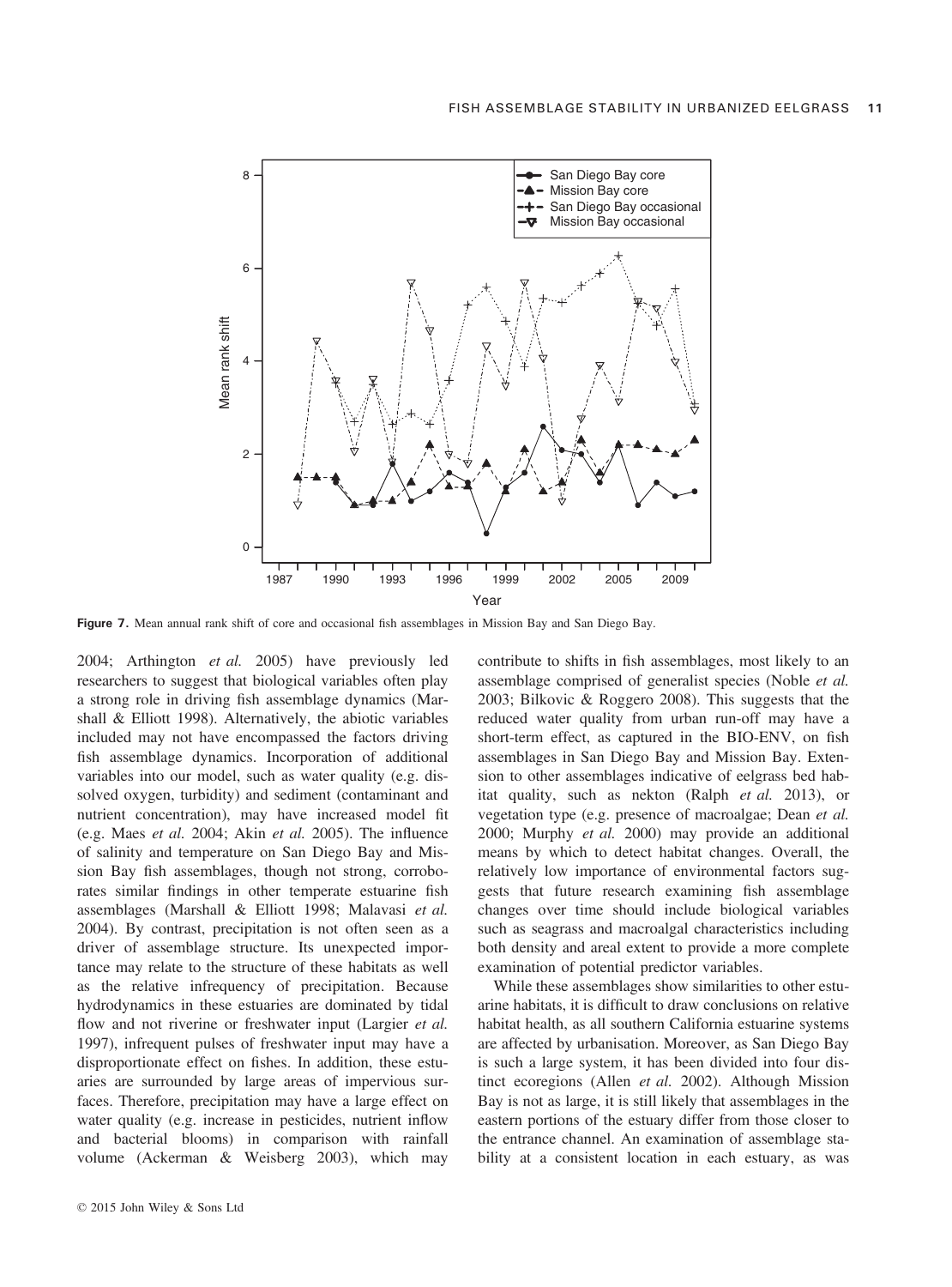

Figure 7. Mean annual rank shift of core and occasional fish assemblages in Mission Bay and San Diego Bay.

2004; Arthington et al. 2005) have previously led researchers to suggest that biological variables often play a strong role in driving fish assemblage dynamics (Marshall & Elliott 1998). Alternatively, the abiotic variables included may not have encompassed the factors driving fish assemblage dynamics. Incorporation of additional variables into our model, such as water quality (e.g. dissolved oxygen, turbidity) and sediment (contaminant and nutrient concentration), may have increased model fit (e.g. Maes et al. 2004; Akin et al. 2005). The influence of salinity and temperature on San Diego Bay and Mission Bay fish assemblages, though not strong, corroborates similar findings in other temperate estuarine fish assemblages (Marshall & Elliott 1998; Malavasi et al. 2004). By contrast, precipitation is not often seen as a driver of assemblage structure. Its unexpected importance may relate to the structure of these habitats as well as the relative infrequency of precipitation. Because hydrodynamics in these estuaries are dominated by tidal flow and not riverine or freshwater input (Largier et al. 1997), infrequent pulses of freshwater input may have a disproportionate effect on fishes. In addition, these estuaries are surrounded by large areas of impervious surfaces. Therefore, precipitation may have a large effect on water quality (e.g. increase in pesticides, nutrient inflow and bacterial blooms) in comparison with rainfall volume (Ackerman & Weisberg 2003), which may

contribute to shifts in fish assemblages, most likely to an assemblage comprised of generalist species (Noble et al. 2003; Bilkovic & Roggero 2008). This suggests that the reduced water quality from urban run-off may have a short-term effect, as captured in the BIO-ENV, on fish assemblages in San Diego Bay and Mission Bay. Extension to other assemblages indicative of eelgrass bed habitat quality, such as nekton (Ralph et al. 2013), or vegetation type (e.g. presence of macroalgae; Dean et al. 2000; Murphy et al. 2000) may provide an additional means by which to detect habitat changes. Overall, the relatively low importance of environmental factors suggests that future research examining fish assemblage changes over time should include biological variables such as seagrass and macroalgal characteristics including both density and areal extent to provide a more complete examination of potential predictor variables.

While these assemblages show similarities to other estuarine habitats, it is difficult to draw conclusions on relative habitat health, as all southern California estuarine systems are affected by urbanisation. Moreover, as San Diego Bay is such a large system, it has been divided into four distinct ecoregions (Allen et al. 2002). Although Mission Bay is not as large, it is still likely that assemblages in the eastern portions of the estuary differ from those closer to the entrance channel. An examination of assemblage stability at a consistent location in each estuary, as was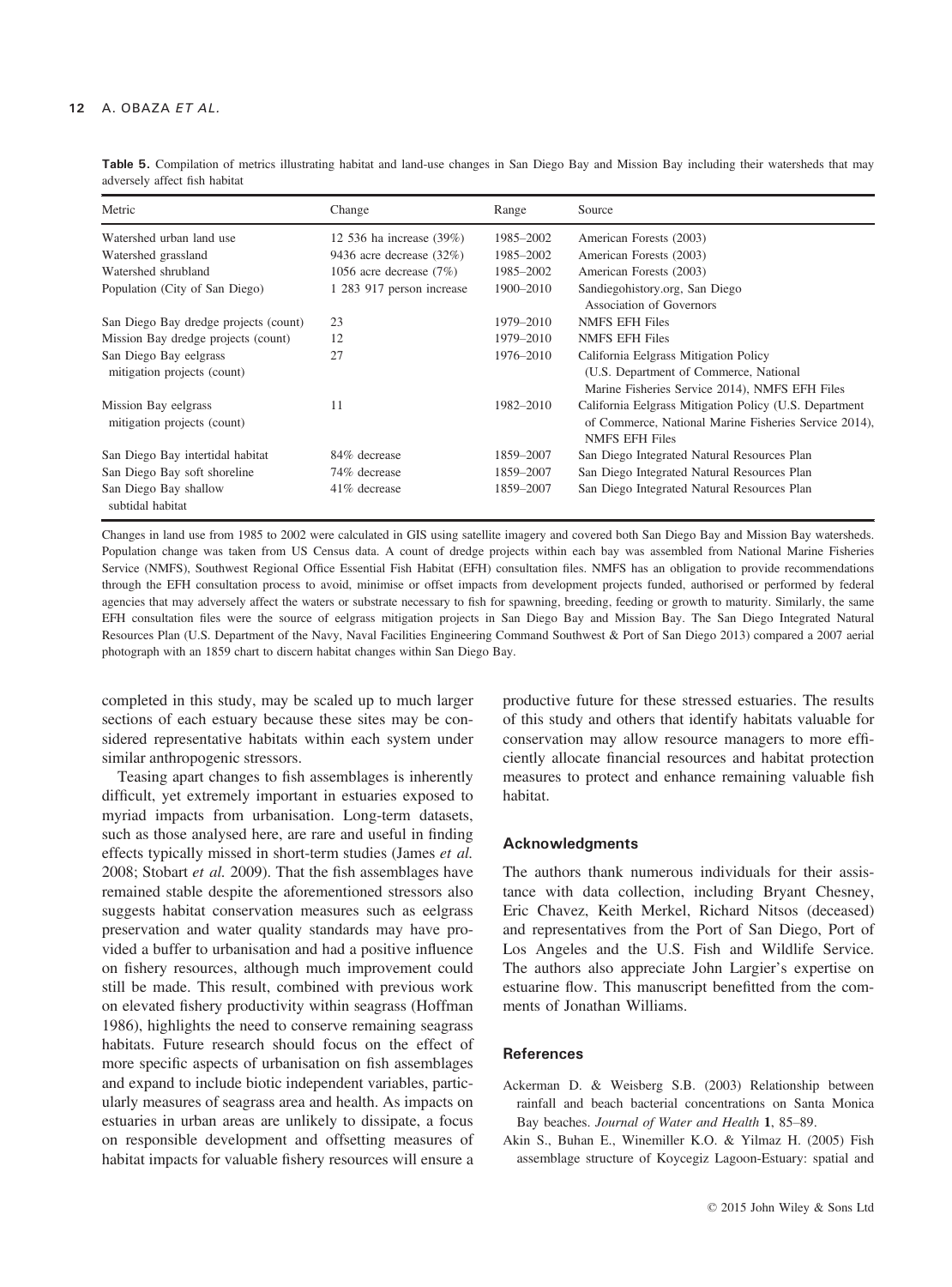| Table 5. Compilation of metrics illustrating habitat and land-use changes in San Diego Bay and Mission Bay including their watersheds that may |  |  |  |  |  |  |  |  |
|------------------------------------------------------------------------------------------------------------------------------------------------|--|--|--|--|--|--|--|--|
| adversely affect fish habitat                                                                                                                  |  |  |  |  |  |  |  |  |

| Metric                                              | Change                    | Range     | Source                                                                                                                                   |
|-----------------------------------------------------|---------------------------|-----------|------------------------------------------------------------------------------------------------------------------------------------------|
| Watershed urban land use                            | 12 536 ha increase (39%)  | 1985–2002 | American Forests (2003)                                                                                                                  |
| Watershed grassland                                 | 9436 acre decrease (32%)  | 1985-2002 | American Forests (2003)                                                                                                                  |
| Watershed shrubland                                 | 1056 acre decrease $(7%)$ | 1985-2002 | American Forests (2003)                                                                                                                  |
| Population (City of San Diego)                      | 1 283 917 person increase | 1900-2010 | Sandiegohistory.org, San Diego                                                                                                           |
|                                                     |                           |           | Association of Governors                                                                                                                 |
| San Diego Bay dredge projects (count)               | 23                        | 1979–2010 | <b>NMFS EFH Files</b>                                                                                                                    |
| Mission Bay dredge projects (count)                 | 12                        | 1979-2010 | <b>NMFS EFH Files</b>                                                                                                                    |
| San Diego Bay eelgrass                              | 27                        | 1976-2010 | California Eelgrass Mitigation Policy                                                                                                    |
| mitigation projects (count)                         |                           |           | (U.S. Department of Commerce, National                                                                                                   |
|                                                     |                           |           | Marine Fisheries Service 2014), NMFS EFH Files                                                                                           |
| Mission Bay eelgrass<br>mitigation projects (count) | 11                        | 1982-2010 | California Eelgrass Mitigation Policy (U.S. Department<br>of Commerce, National Marine Fisheries Service 2014),<br><b>NMFS EFH Files</b> |
| San Diego Bay intertidal habitat                    | 84% decrease              | 1859-2007 | San Diego Integrated Natural Resources Plan                                                                                              |
| San Diego Bay soft shoreline                        | 74% decrease              | 1859-2007 | San Diego Integrated Natural Resources Plan                                                                                              |
| San Diego Bay shallow<br>subtidal habitat           | 41\% decrease             | 1859-2007 | San Diego Integrated Natural Resources Plan                                                                                              |

Changes in land use from 1985 to 2002 were calculated in GIS using satellite imagery and covered both San Diego Bay and Mission Bay watersheds. Population change was taken from US Census data. A count of dredge projects within each bay was assembled from National Marine Fisheries Service (NMFS), Southwest Regional Office Essential Fish Habitat (EFH) consultation files. NMFS has an obligation to provide recommendations through the EFH consultation process to avoid, minimise or offset impacts from development projects funded, authorised or performed by federal agencies that may adversely affect the waters or substrate necessary to fish for spawning, breeding, feeding or growth to maturity. Similarly, the same EFH consultation files were the source of eelgrass mitigation projects in San Diego Bay and Mission Bay. The San Diego Integrated Natural Resources Plan (U.S. Department of the Navy, Naval Facilities Engineering Command Southwest & Port of San Diego 2013) compared a 2007 aerial photograph with an 1859 chart to discern habitat changes within San Diego Bay.

completed in this study, may be scaled up to much larger sections of each estuary because these sites may be considered representative habitats within each system under similar anthropogenic stressors.

Teasing apart changes to fish assemblages is inherently difficult, yet extremely important in estuaries exposed to myriad impacts from urbanisation. Long-term datasets, such as those analysed here, are rare and useful in finding effects typically missed in short-term studies (James et al. 2008; Stobart et al. 2009). That the fish assemblages have remained stable despite the aforementioned stressors also suggests habitat conservation measures such as eelgrass preservation and water quality standards may have provided a buffer to urbanisation and had a positive influence on fishery resources, although much improvement could still be made. This result, combined with previous work on elevated fishery productivity within seagrass (Hoffman 1986), highlights the need to conserve remaining seagrass habitats. Future research should focus on the effect of more specific aspects of urbanisation on fish assemblages and expand to include biotic independent variables, particularly measures of seagrass area and health. As impacts on estuaries in urban areas are unlikely to dissipate, a focus on responsible development and offsetting measures of habitat impacts for valuable fishery resources will ensure a productive future for these stressed estuaries. The results of this study and others that identify habitats valuable for conservation may allow resource managers to more efficiently allocate financial resources and habitat protection measures to protect and enhance remaining valuable fish habitat.

#### Acknowledgments

The authors thank numerous individuals for their assistance with data collection, including Bryant Chesney, Eric Chavez, Keith Merkel, Richard Nitsos (deceased) and representatives from the Port of San Diego, Port of Los Angeles and the U.S. Fish and Wildlife Service. The authors also appreciate John Largier's expertise on estuarine flow. This manuscript benefitted from the comments of Jonathan Williams.

#### **References**

- Ackerman D. & Weisberg S.B. (2003) Relationship between rainfall and beach bacterial concentrations on Santa Monica Bay beaches. Journal of Water and Health 1, 85–89.
- Akin S., Buhan E., Winemiller K.O. & Yilmaz H. (2005) Fish assemblage structure of Koycegiz Lagoon-Estuary: spatial and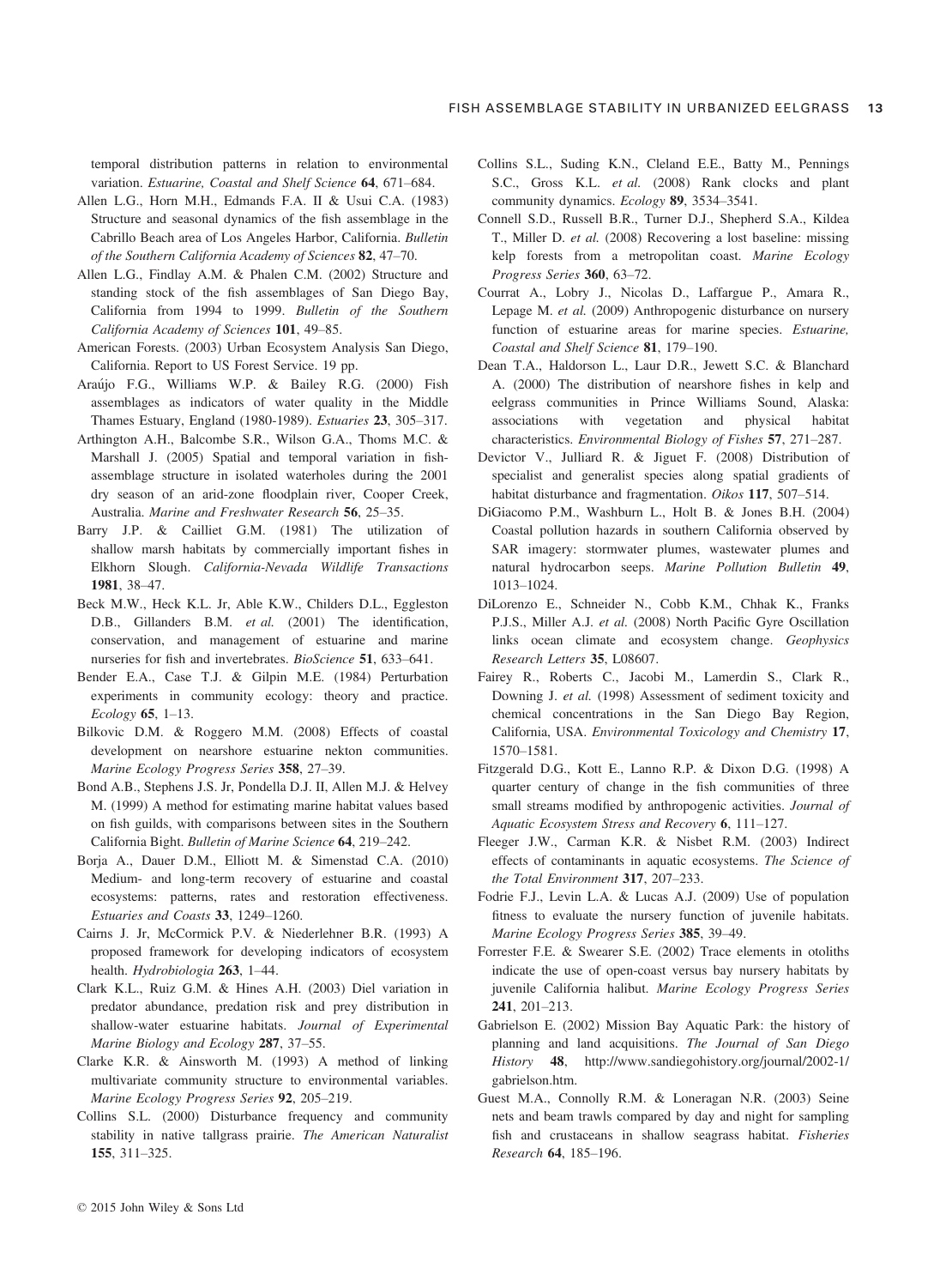temporal distribution patterns in relation to environmental variation. Estuarine, Coastal and Shelf Science 64, 671–684.

- Allen L.G., Horn M.H., Edmands F.A. II & Usui C.A. (1983) Structure and seasonal dynamics of the fish assemblage in the Cabrillo Beach area of Los Angeles Harbor, California. Bulletin of the Southern California Academy of Sciences 82, 47–70.
- Allen L.G., Findlay A.M. & Phalen C.M. (2002) Structure and standing stock of the fish assemblages of San Diego Bay, California from 1994 to 1999. Bulletin of the Southern California Academy of Sciences 101, 49–85.
- American Forests. (2003) Urban Ecosystem Analysis San Diego, California. Report to US Forest Service. 19 pp.
- Araujo F.G., Williams W.P. & Bailey R.G. (2000) Fish assemblages as indicators of water quality in the Middle Thames Estuary, England (1980-1989). Estuaries 23, 305–317.
- Arthington A.H., Balcombe S.R., Wilson G.A., Thoms M.C. & Marshall J. (2005) Spatial and temporal variation in fishassemblage structure in isolated waterholes during the 2001 dry season of an arid-zone floodplain river, Cooper Creek, Australia. Marine and Freshwater Research 56, 25–35.
- Barry J.P. & Cailliet G.M. (1981) The utilization of shallow marsh habitats by commercially important fishes in Elkhorn Slough. California-Nevada Wildlife Transactions 1981, 38–47.
- Beck M.W., Heck K.L. Jr, Able K.W., Childers D.L., Eggleston D.B., Gillanders B.M. et al. (2001) The identification, conservation, and management of estuarine and marine nurseries for fish and invertebrates. BioScience 51, 633-641.
- Bender E.A., Case T.J. & Gilpin M.E. (1984) Perturbation experiments in community ecology: theory and practice. Ecology 65, 1–13.
- Bilkovic D.M. & Roggero M.M. (2008) Effects of coastal development on nearshore estuarine nekton communities. Marine Ecology Progress Series 358, 27–39.
- Bond A.B., Stephens J.S. Jr, Pondella D.J. II, Allen M.J. & Helvey M. (1999) A method for estimating marine habitat values based on fish guilds, with comparisons between sites in the Southern California Bight. Bulletin of Marine Science 64, 219–242.
- Borja A., Dauer D.M., Elliott M. & Simenstad C.A. (2010) Medium- and long-term recovery of estuarine and coastal ecosystems: patterns, rates and restoration effectiveness. Estuaries and Coasts 33, 1249–1260.
- Cairns J. Jr, McCormick P.V. & Niederlehner B.R. (1993) A proposed framework for developing indicators of ecosystem health. Hydrobiologia 263, 1–44.
- Clark K.L., Ruiz G.M. & Hines A.H. (2003) Diel variation in predator abundance, predation risk and prey distribution in shallow-water estuarine habitats. Journal of Experimental Marine Biology and Ecology 287, 37–55.
- Clarke K.R. & Ainsworth M. (1993) A method of linking multivariate community structure to environmental variables. Marine Ecology Progress Series 92, 205–219.
- Collins S.L. (2000) Disturbance frequency and community stability in native tallgrass prairie. The American Naturalist 155, 311–325.
- Collins S.L., Suding K.N., Cleland E.E., Batty M., Pennings S.C., Gross K.L. et al. (2008) Rank clocks and plant community dynamics. Ecology 89, 3534–3541.
- Connell S.D., Russell B.R., Turner D.J., Shepherd S.A., Kildea T., Miller D. et al. (2008) Recovering a lost baseline: missing kelp forests from a metropolitan coast. Marine Ecology Progress Series 360, 63–72.
- Courrat A., Lobry J., Nicolas D., Laffargue P., Amara R., Lepage M. et al. (2009) Anthropogenic disturbance on nursery function of estuarine areas for marine species. Estuarine, Coastal and Shelf Science 81, 179–190.
- Dean T.A., Haldorson L., Laur D.R., Jewett S.C. & Blanchard A. (2000) The distribution of nearshore fishes in kelp and eelgrass communities in Prince Williams Sound, Alaska: associations with vegetation and physical habitat characteristics. Environmental Biology of Fishes 57, 271–287.
- Devictor V., Julliard R. & Jiguet F. (2008) Distribution of specialist and generalist species along spatial gradients of habitat disturbance and fragmentation. Oikos 117, 507-514.
- DiGiacomo P.M., Washburn L., Holt B. & Jones B.H. (2004) Coastal pollution hazards in southern California observed by SAR imagery: stormwater plumes, wastewater plumes and natural hydrocarbon seeps. Marine Pollution Bulletin 49, 1013–1024.
- DiLorenzo E., Schneider N., Cobb K.M., Chhak K., Franks P.J.S., Miller A.J. et al. (2008) North Pacific Gyre Oscillation links ocean climate and ecosystem change. Geophysics Research Letters 35, L08607.
- Fairey R., Roberts C., Jacobi M., Lamerdin S., Clark R., Downing J. et al. (1998) Assessment of sediment toxicity and chemical concentrations in the San Diego Bay Region, California, USA. Environmental Toxicology and Chemistry 17, 1570–1581.
- Fitzgerald D.G., Kott E., Lanno R.P. & Dixon D.G. (1998) A quarter century of change in the fish communities of three small streams modified by anthropogenic activities. Journal of Aquatic Ecosystem Stress and Recovery 6, 111–127.
- Fleeger J.W., Carman K.R. & Nisbet R.M. (2003) Indirect effects of contaminants in aquatic ecosystems. The Science of the Total Environment 317, 207–233.
- Fodrie F.J., Levin L.A. & Lucas A.J. (2009) Use of population fitness to evaluate the nursery function of juvenile habitats. Marine Ecology Progress Series 385, 39–49.
- Forrester F.E. & Swearer S.E. (2002) Trace elements in otoliths indicate the use of open-coast versus bay nursery habitats by juvenile California halibut. Marine Ecology Progress Series 241, 201–213.
- Gabrielson E. (2002) Mission Bay Aquatic Park: the history of planning and land acquisitions. The Journal of San Diego History 48, [http://www.sandiegohistory.org/journal/2002-1/](http://www.sandiegohistory.org/journal/2002-1/gabrielson.htm) [gabrielson.htm](http://www.sandiegohistory.org/journal/2002-1/gabrielson.htm).
- Guest M.A., Connolly R.M. & Loneragan N.R. (2003) Seine nets and beam trawls compared by day and night for sampling fish and crustaceans in shallow seagrass habitat. Fisheries Research 64, 185–196.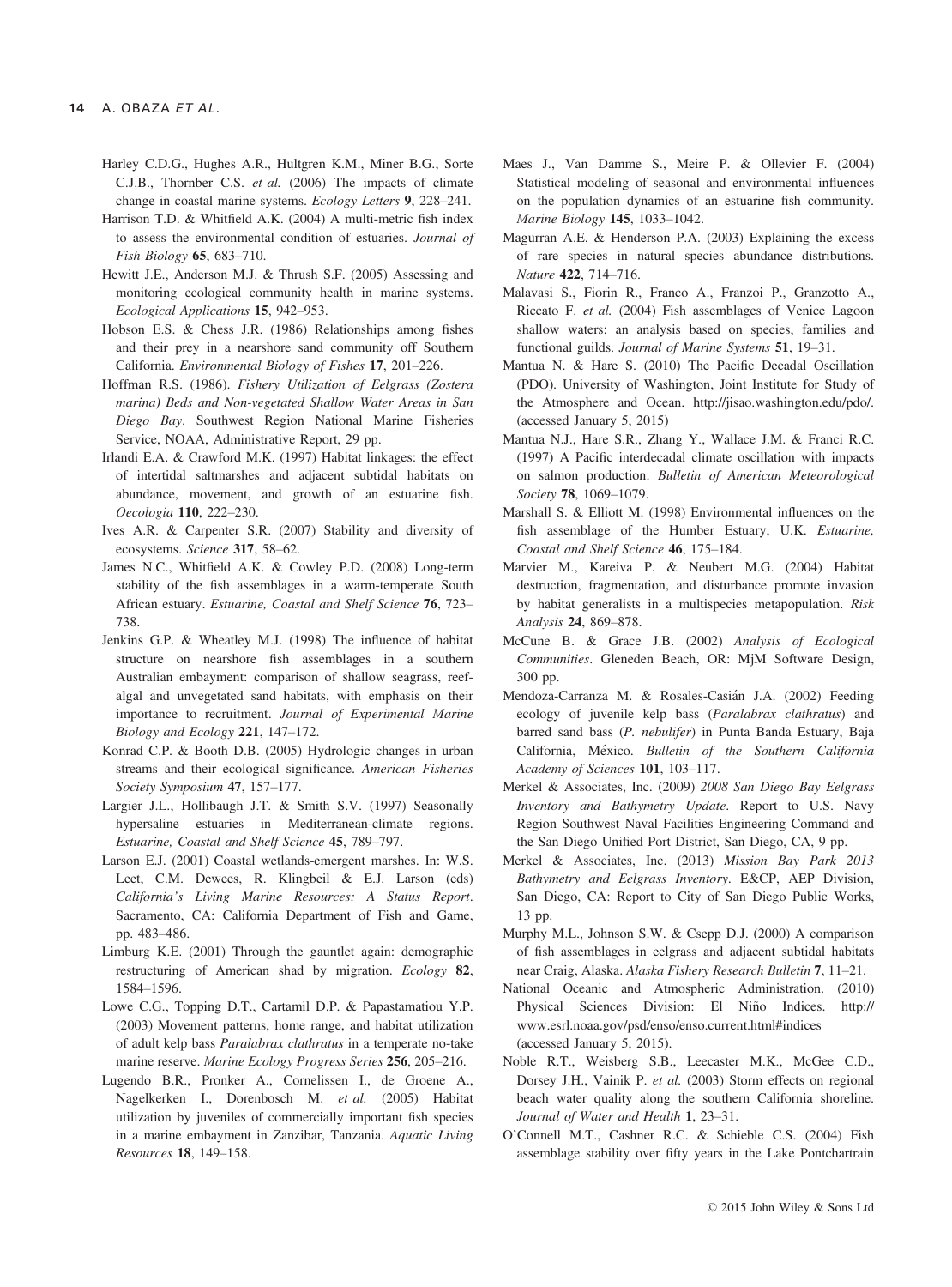- Harley C.D.G., Hughes A.R., Hultgren K.M., Miner B.G., Sorte C.J.B., Thornber C.S. et al. (2006) The impacts of climate change in coastal marine systems. Ecology Letters 9, 228–241.
- Harrison T.D. & Whitfield A.K. (2004) A multi-metric fish index to assess the environmental condition of estuaries. Journal of Fish Biology 65, 683–710.
- Hewitt J.E., Anderson M.J. & Thrush S.F. (2005) Assessing and monitoring ecological community health in marine systems. Ecological Applications 15, 942–953.
- Hobson E.S. & Chess J.R. (1986) Relationships among fishes and their prey in a nearshore sand community off Southern California. Environmental Biology of Fishes 17, 201–226.
- Hoffman R.S. (1986). Fishery Utilization of Eelgrass (Zostera marina) Beds and Non-vegetated Shallow Water Areas in San Diego Bay. Southwest Region National Marine Fisheries Service, NOAA, Administrative Report, 29 pp.
- Irlandi E.A. & Crawford M.K. (1997) Habitat linkages: the effect of intertidal saltmarshes and adjacent subtidal habitats on abundance, movement, and growth of an estuarine fish. Oecologia 110, 222–230.
- Ives A.R. & Carpenter S.R. (2007) Stability and diversity of ecosystems. Science 317, 58–62.
- James N.C., Whitfield A.K. & Cowley P.D. (2008) Long-term stability of the fish assemblages in a warm-temperate South African estuary. Estuarine, Coastal and Shelf Science 76, 723– 738.
- Jenkins G.P. & Wheatley M.J. (1998) The influence of habitat structure on nearshore fish assemblages in a southern Australian embayment: comparison of shallow seagrass, reefalgal and unvegetated sand habitats, with emphasis on their importance to recruitment. Journal of Experimental Marine Biology and Ecology 221, 147–172.
- Konrad C.P. & Booth D.B. (2005) Hydrologic changes in urban streams and their ecological significance. American Fisheries Society Symposium 47, 157–177.
- Largier J.L., Hollibaugh J.T. & Smith S.V. (1997) Seasonally hypersaline estuaries in Mediterranean-climate regions. Estuarine, Coastal and Shelf Science 45, 789–797.
- Larson E.J. (2001) Coastal wetlands-emergent marshes. In: W.S. Leet, C.M. Dewees, R. Klingbeil & E.J. Larson (eds) California's Living Marine Resources: A Status Report. Sacramento, CA: California Department of Fish and Game, pp. 483–486.
- Limburg K.E. (2001) Through the gauntlet again: demographic restructuring of American shad by migration. Ecology 82, 1584–1596.
- Lowe C.G., Topping D.T., Cartamil D.P. & Papastamatiou Y.P. (2003) Movement patterns, home range, and habitat utilization of adult kelp bass Paralabrax clathratus in a temperate no-take marine reserve. Marine Ecology Progress Series 256, 205–216.
- Lugendo B.R., Pronker A., Cornelissen I., de Groene A., Nagelkerken I., Dorenbosch M. et al. (2005) Habitat utilization by juveniles of commercially important fish species in a marine embayment in Zanzibar, Tanzania. Aquatic Living Resources 18, 149–158.
- Maes J., Van Damme S., Meire P. & Ollevier F. (2004) Statistical modeling of seasonal and environmental influences on the population dynamics of an estuarine fish community. Marine Biology 145, 1033–1042.
- Magurran A.E. & Henderson P.A. (2003) Explaining the excess of rare species in natural species abundance distributions. Nature 422, 714–716.
- Malavasi S., Fiorin R., Franco A., Franzoi P., Granzotto A., Riccato F. et al. (2004) Fish assemblages of Venice Lagoon shallow waters: an analysis based on species, families and functional guilds. Journal of Marine Systems 51, 19–31.
- Mantua N. & Hare S. (2010) The Pacific Decadal Oscillation (PDO). University of Washington, Joint Institute for Study of the Atmosphere and Ocean. [http://jisao.washington.edu/pdo/.](http://jisao.washington.edu/pdo/) (accessed January 5, 2015)
- Mantua N.J., Hare S.R., Zhang Y., Wallace J.M. & Franci R.C. (1997) A Pacific interdecadal climate oscillation with impacts on salmon production. Bulletin of American Meteorological Society **78**, 1069-1079.
- Marshall S. & Elliott M. (1998) Environmental influences on the fish assemblage of the Humber Estuary, U.K. Estuarine, Coastal and Shelf Science 46, 175–184.
- Marvier M., Kareiva P. & Neubert M.G. (2004) Habitat destruction, fragmentation, and disturbance promote invasion by habitat generalists in a multispecies metapopulation. Risk Analysis 24, 869–878.
- McCune B. & Grace J.B. (2002) Analysis of Ecological Communities. Gleneden Beach, OR: MjM Software Design, 300 pp.
- Mendoza-Carranza M. & Rosales-Casian J.A. (2002) Feeding ecology of juvenile kelp bass (Paralabrax clathratus) and barred sand bass (P. nebulifer) in Punta Banda Estuary, Baja California, Mexico. Bulletin of the Southern California Academy of Sciences 101, 103–117.
- Merkel & Associates, Inc. (2009) 2008 San Diego Bay Eelgrass Inventory and Bathymetry Update. Report to U.S. Navy Region Southwest Naval Facilities Engineering Command and the San Diego Unified Port District, San Diego, CA, 9 pp.
- Merkel & Associates, Inc. (2013) Mission Bay Park 2013 Bathymetry and Eelgrass Inventory. E&CP, AEP Division, San Diego, CA: Report to City of San Diego Public Works, 13 pp.
- Murphy M.L., Johnson S.W. & Csepp D.J. (2000) A comparison of fish assemblages in eelgrass and adjacent subtidal habitats near Craig, Alaska. Alaska Fishery Research Bulletin 7, 11–21.
- National Oceanic and Atmospheric Administration. (2010) Physical Sciences Division: El Niño Indices. [http://](http://www.esrl.noaa.gov/psd/enso/enso.current.html#indices) [www.esrl.noaa.gov/psd/enso/enso.current.html#indices](http://www.esrl.noaa.gov/psd/enso/enso.current.html#indices) (accessed January 5, 2015).
- Noble R.T., Weisberg S.B., Leecaster M.K., McGee C.D., Dorsey J.H., Vainik P. et al. (2003) Storm effects on regional beach water quality along the southern California shoreline. Journal of Water and Health 1, 23–31.
- O'Connell M.T., Cashner R.C. & Schieble C.S. (2004) Fish assemblage stability over fifty years in the Lake Pontchartrain